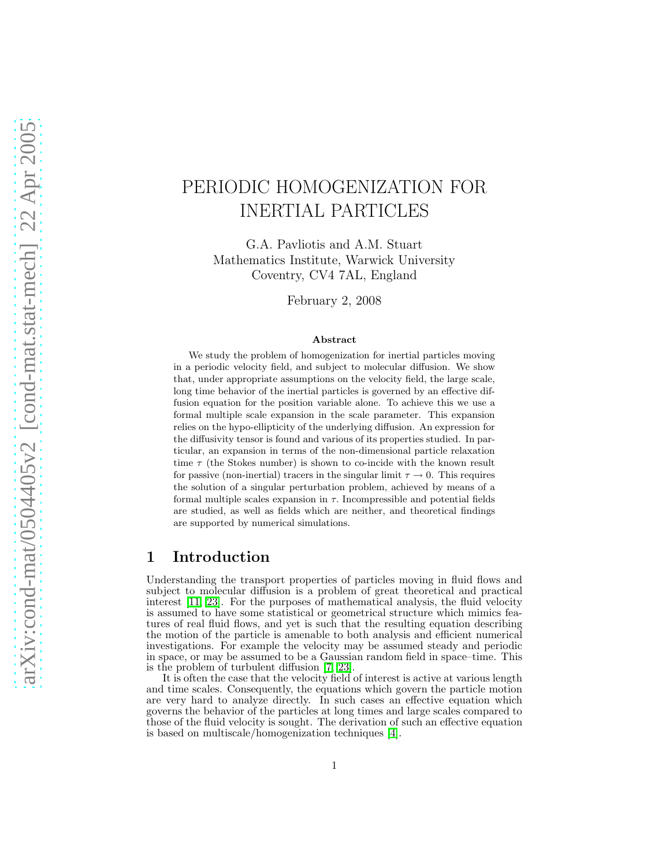# PERIODIC HOMOGENIZATION FOR INERTIAL PARTICLES

G.A. Pavliotis and A.M. Stuart Mathematics Institute, Warwick University Coventry, CV4 7AL, England

February 2, 2008

#### Abstract

We study the problem of homogenization for inertial particles moving in a periodic velocity field, and subject to molecular diffusion. We show that, under appropriate assumptions on the velocity field, the large scale, long time behavior of the inertial particles is governed by an effective diffusion equation for the position variable alone. To achieve this we use a formal multiple scale expansion in the scale parameter. This expansion relies on the hypo-ellipticity of the underlying diffusion. An expression for the diffusivity tensor is found and various of its properties studied. In particular, an expansion in terms of the non-dimensional particle relaxation time  $\tau$  (the Stokes number) is shown to co-incide with the known result for passive (non-inertial) tracers in the singular limit  $\tau \to 0$ . This requires the solution of a singular perturbation problem, achieved by means of a formal multiple scales expansion in  $\tau$ . Incompressible and potential fields are studied, as well as fields which are neither, and theoretical findings are supported by numerical simulations.

## 1 Introduction

Understanding the transport properties of particles moving in fluid flows and subject to molecular diffusion is a problem of great theoretical and practical interest [\[11,](#page-28-0) [23\]](#page-29-0). For the purposes of mathematical analysis, the fluid velocity is assumed to have some statistical or geometrical structure which mimics features of real fluid flows, and yet is such that the resulting equation describing the motion of the particle is amenable to both analysis and efficient numerical investigations. For example the velocity may be assumed steady and periodic in space, or may be assumed to be a Gaussian random field in space–time. This is the problem of turbulent diffusion [\[7,](#page-28-1) [23\]](#page-29-0).

It is often the case that the velocity field of interest is active at various length and time scales. Consequently, the equations which govern the particle motion are very hard to analyze directly. In such cases an effective equation which governs the behavior of the particles at long times and large scales compared to those of the fluid velocity is sought. The derivation of such an effective equation is based on multiscale/homogenization techniques [\[4\]](#page-28-2).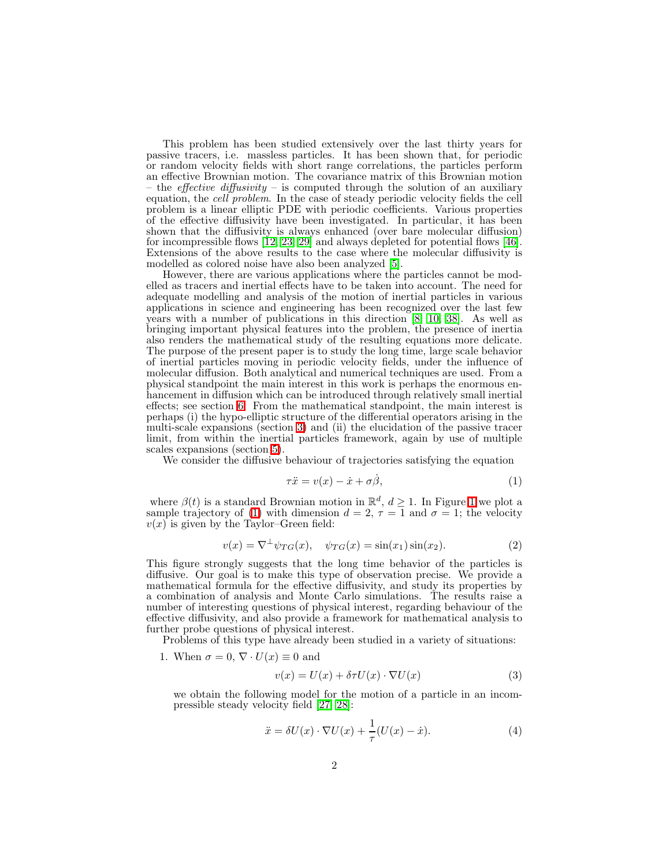This problem has been studied extensively over the last thirty years for passive tracers, i.e. massless particles. It has been shown that, for periodic or random velocity fields with short range correlations, the particles perform an effective Brownian motion. The covariance matrix of this Brownian motion – the *effective diffusivity* – is computed through the solution of an auxiliary equation, the *cell problem*. In the case of steady periodic velocity fields the cell problem is a linear elliptic PDE with periodic coefficients. Various properties of the effective diffusivity have been investigated. In particular, it has been shown that the diffusivity is always enhanced (over bare molecular diffusion) for incompressible flows  $[12, 23, 29]$  $[12, 23, 29]$  $[12, 23, 29]$  and always depleted for potential flows [\[46\]](#page-30-0). Extensions of the above results to the case where the molecular diffusivity is modelled as colored noise have also been analyzed [\[5\]](#page-28-4).

However, there are various applications where the particles cannot be modelled as tracers and inertial effects have to be taken into account. The need for adequate modelling and analysis of the motion of inertial particles in various applications in science and engineering has been recognized over the last few years with a number of publications in this direction  $[8, 10, 38]$  $[8, 10, 38]$  $[8, 10, 38]$  $[8, 10, 38]$ . As well as bringing important physical features into the problem, the presence of inertia also renders the mathematical study of the resulting equations more delicate. The purpose of the present paper is to study the long time, large scale behavior of inertial particles moving in periodic velocity fields, under the influence of molecular diffusion. Both analytical and numerical techniques are used. From a physical standpoint the main interest in this work is perhaps the enormous enhancement in diffusion which can be introduced through relatively small inertial effects; see section [6.](#page-19-0) From the mathematical standpoint, the main interest is perhaps (i) the hypo-elliptic structure of the differential operators arising in the multi-scale expansions (section [3\)](#page-9-0) and (ii) the elucidation of the passive tracer limit, from within the inertial particles framework, again by use of multiple scales expansions (section [5\)](#page-16-0).

We consider the diffusive behaviour of trajectories satisfying the equation

<span id="page-1-1"></span><span id="page-1-0"></span>
$$
\tau \ddot{x} = v(x) - \dot{x} + \sigma \dot{\beta}, \tag{1}
$$

where  $\beta(t)$  is a standard Brownian motion in  $\mathbb{R}^d$ ,  $d \ge 1$  $d \ge 1$ . In Figure 1 we plot a sample trajectory of [\(1\)](#page-1-0) with dimension  $d = 2$ ,  $\tau = 1$  and  $\sigma = 1$ ; the velocity  $v(x)$  is given by the Taylor–Green field:

$$
v(x) = \nabla^{\perp} \psi_{TG}(x), \quad \psi_{TG}(x) = \sin(x_1)\sin(x_2). \tag{2}
$$

This figure strongly suggests that the long time behavior of the particles is diffusive. Our goal is to make this type of observation precise. We provide a mathematical formula for the effective diffusivity, and study its properties by a combination of analysis and Monte Carlo simulations. The results raise a number of interesting questions of physical interest, regarding behaviour of the effective diffusivity, and also provide a framework for mathematical analysis to further probe questions of physical interest.

Problems of this type have already been studied in a variety of situations:

1. When  $\sigma = 0$ ,  $\nabla \cdot U(x) \equiv 0$  and

<span id="page-1-3"></span><span id="page-1-2"></span>
$$
v(x) = U(x) + \delta \tau U(x) \cdot \nabla U(x)
$$
 (3)

we obtain the following model for the motion of a particle in an incompressible steady velocity field [\[27,](#page-29-3) [28\]](#page-29-4):

$$
\ddot{x} = \delta U(x) \cdot \nabla U(x) + \frac{1}{\tau} (U(x) - \dot{x}). \tag{4}
$$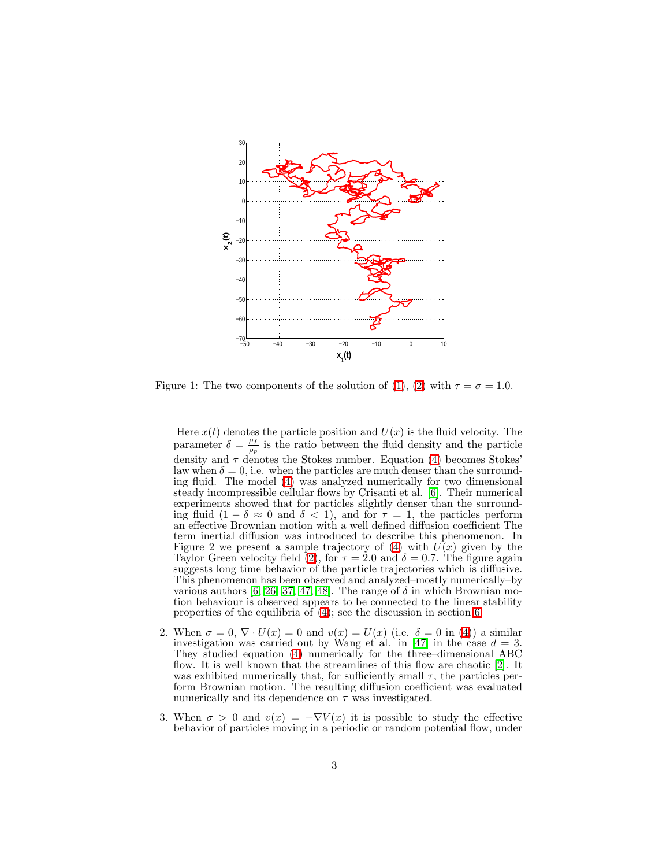

<span id="page-2-0"></span>Figure 1: The two components of the solution of [\(1\)](#page-1-0), [\(2\)](#page-1-1) with  $\tau = \sigma = 1.0$ .

Here  $x(t)$  denotes the particle position and  $U(x)$  is the fluid velocity. The parameter  $\delta = \frac{\rho_f}{g}$  $\frac{\rho_f}{\rho_p}$  is the ratio between the fluid density and the particle density and  $\tau$  denotes the Stokes number. Equation [\(4\)](#page-1-2) becomes Stokes' law when  $\delta = 0$ , i.e. when the particles are much denser than the surrounding fluid. The model [\(4\)](#page-1-2) was analyzed numerically for two dimensional steady incompressible cellular flows by Crisanti et al. [\[6\]](#page-28-7). Their numerical experiments showed that for particles slightly denser than the surrounding fluid  $(1 - \delta \approx 0$  and  $\delta < 1$ , and for  $\tau = 1$ , the particles perform an effective Brownian motion with a well defined diffusion coefficient The term inertial diffusion was introduced to describe this phenomenon. In Figure 2 we present a sample trajectory of  $(4)$  with  $U(x)$  given by the Taylor Green velocity field [\(2\)](#page-1-1), for  $\tau = 2.0$  and  $\delta = 0.7$ . The figure again suggests long time behavior of the particle trajectories which is diffusive. This phenomenon has been observed and analyzed–mostly numerically–by various authors [\[6,](#page-28-7) [26,](#page-29-5) [37,](#page-29-6) [47,](#page-30-1) [48\]](#page-30-2). The range of  $\delta$  in which Brownian motion behaviour is observed appears to be connected to the linear stability properties of the equilibria of  $(4)$ ; see the discussion in section [6.](#page-19-0)

- 2. When  $\sigma = 0$ ,  $\nabla \cdot U(x) = 0$  and  $v(x) = U(x)$  (i.e.  $\delta = 0$  in [\(4\)](#page-1-2)) a similar investigation was carried out by Wang et al. in [\[47\]](#page-30-1) in the case  $d = 3$ . They studied equation [\(4\)](#page-1-2) numerically for the three–dimensional ABC flow. It is well known that the streamlines of this flow are chaotic [\[2\]](#page-27-0). It was exhibited numerically that, for sufficiently small  $\tau$ , the particles perform Brownian motion. The resulting diffusion coefficient was evaluated numerically and its dependence on  $\tau$  was investigated.
- 3. When  $\sigma > 0$  and  $v(x) = -\nabla V(x)$  it is possible to study the effective behavior of particles moving in a periodic or random potential flow, under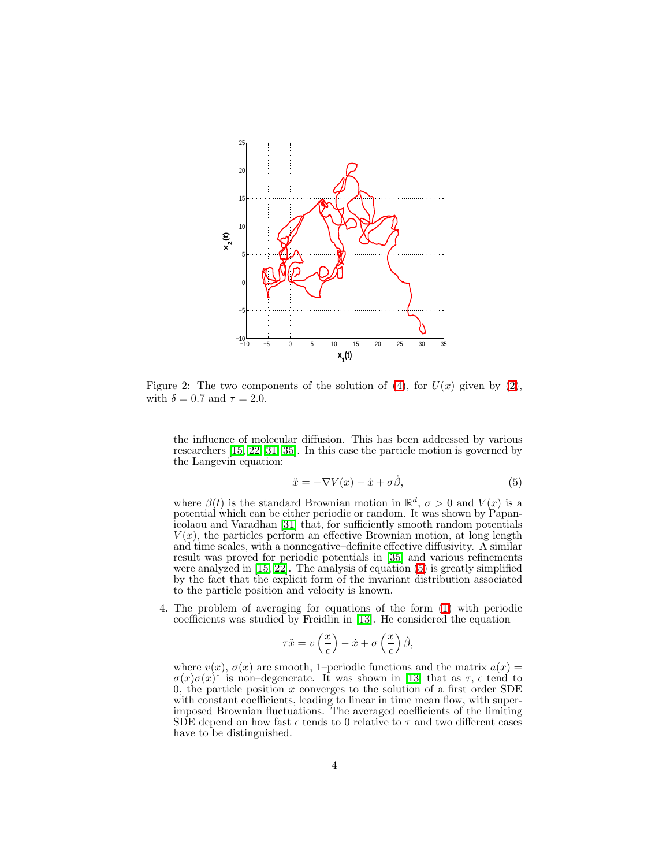

Figure 2: The two components of the solution of [\(4\)](#page-1-2), for  $U(x)$  given by [\(2\)](#page-1-1), with  $\delta = 0.7$  and  $\tau = 2.0$ .

<span id="page-3-0"></span>the influence of molecular diffusion. This has been addressed by various researchers [\[15,](#page-28-8) [22,](#page-29-7) [31,](#page-29-8) [35\]](#page-29-9). In this case the particle motion is governed by the Langevin equation:

$$
\ddot{x} = -\nabla V(x) - \dot{x} + \sigma \dot{\beta},\tag{5}
$$

where  $\beta(t)$  is the standard Brownian motion in  $\mathbb{R}^d$ ,  $\sigma > 0$  and  $V(x)$  is a potential which can be either periodic or random. It was shown by Papanicolaou and Varadhan [\[31\]](#page-29-8) that, for sufficiently smooth random potentials  $V(x)$ , the particles perform an effective Brownian motion, at long length and time scales, with a nonnegative–definite effective diffusivity. A similar result was proved for periodic potentials in [\[35\]](#page-29-9) and various refinements were analyzed in [\[15,](#page-28-8) [22\]](#page-29-7). The analysis of equation [\(5\)](#page-3-0) is greatly simplified by the fact that the explicit form of the invariant distribution associated to the particle position and velocity is known.

4. The problem of averaging for equations of the form [\(1\)](#page-1-0) with periodic coefficients was studied by Freidlin in [\[13\]](#page-28-9). He considered the equation

$$
\tau \ddot{x} = v\left(\frac{x}{\epsilon}\right) - \dot{x} + \sigma\left(\frac{x}{\epsilon}\right)\dot{\beta},
$$

where  $v(x)$ ,  $\sigma(x)$  are smooth, 1–periodic functions and the matrix  $a(x)$  =  $\sigma(x)\sigma(x)^{*}$  is non-degenerate. It was shown in [\[13\]](#page-28-9) that as  $\tau$ ,  $\epsilon$  tend to 0, the particle position x converges to the solution of a first order SDE with constant coefficients, leading to linear in time mean flow, with superimposed Brownian fluctuations. The averaged coefficients of the limiting SDE depend on how fast  $\epsilon$  tends to 0 relative to  $\tau$  and two different cases have to be distinguished.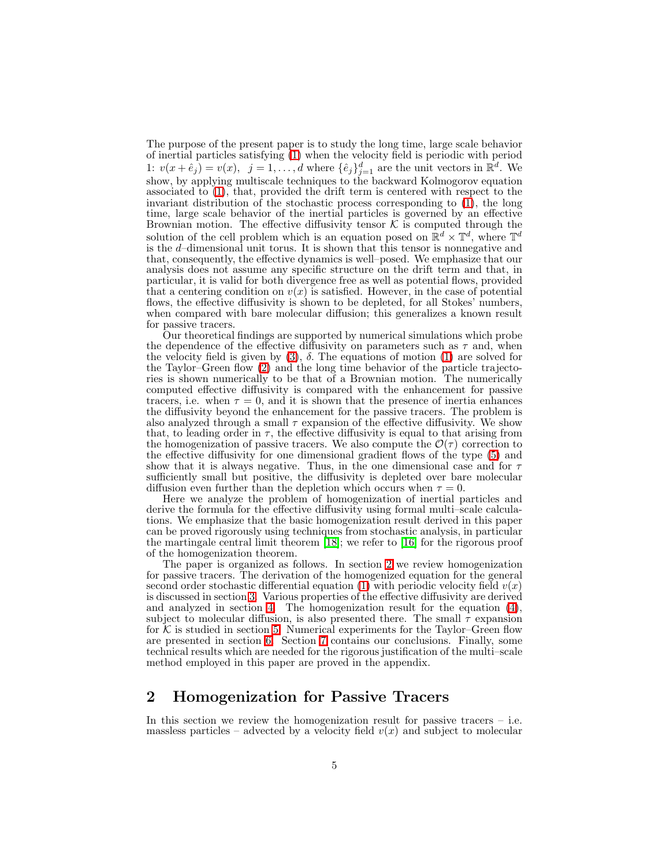The purpose of the present paper is to study the long time, large scale behavior of inertial particles satisfying [\(1\)](#page-1-0) when the velocity field is periodic with period 1:  $v(x + \hat{e}_j) = v(x)$ ,  $j = 1, ..., d$  where  $\{\hat{e}_j\}_{j=1}^d$  are the unit vectors in  $\mathbb{R}^d$ . We show, by applying multiscale techniques to the backward Kolmogorov equation associated to [\(1\)](#page-1-0), that, provided the drift term is centered with respect to the invariant distribution of the stochastic process corresponding to [\(1\)](#page-1-0), the long time, large scale behavior of the inertial particles is governed by an effective Brownian motion. The effective diffusivity tensor  $\mathcal K$  is computed through the solution of the cell problem which is an equation posed on  $\mathbb{R}^d \times \mathbb{T}^d$ , where  $\mathbb{T}^d$ is the d–dimensional unit torus. It is shown that this tensor is nonnegative and that, consequently, the effective dynamics is well–posed. We emphasize that our analysis does not assume any specific structure on the drift term and that, in particular, it is valid for both divergence free as well as potential flows, provided that a centering condition on  $v(x)$  is satisfied. However, in the case of potential flows, the effective diffusivity is shown to be depleted, for all Stokes' numbers, when compared with bare molecular diffusion; this generalizes a known result for passive tracers.

Our theoretical findings are supported by numerical simulations which probe the dependence of the effective diffusivity on parameters such as  $\tau$  and, when the velocity field is given by  $(3)$ ,  $\delta$ . The equations of motion  $(1)$  are solved for the Taylor–Green flow [\(2\)](#page-1-1) and the long time behavior of the particle trajectories is shown numerically to be that of a Brownian motion. The numerically computed effective diffusivity is compared with the enhancement for passive tracers, i.e. when  $\tau = 0$ , and it is shown that the presence of inertia enhances the diffusivity beyond the enhancement for the passive tracers. The problem is also analyzed through a small  $\tau$  expansion of the effective diffusivity. We show that, to leading order in  $\tau$ , the effective diffusivity is equal to that arising from the homogenization of passive tracers. We also compute the  $\mathcal{O}(\tau)$  correction to the effective diffusivity for one dimensional gradient flows of the type [\(5\)](#page-3-0) and show that it is always negative. Thus, in the one dimensional case and for  $\tau$ sufficiently small but positive, the diffusivity is depleted over bare molecular diffusion even further than the depletion which occurs when  $\tau = 0$ .

Here we analyze the problem of homogenization of inertial particles and derive the formula for the effective diffusivity using formal multi–scale calculations. We emphasize that the basic homogenization result derived in this paper can be proved rigorously using techniques from stochastic analysis, in particular the martingale central limit theorem [\[18\]](#page-28-10); we refer to [\[16\]](#page-28-11) for the rigorous proof of the homogenization theorem.

The paper is organized as follows. In section [2](#page-4-0) we review homogenization for passive tracers. The derivation of the homogenized equation for the general second order stochastic differential equation [\(1\)](#page-1-0) with periodic velocity field  $v(x)$ is discussed in section [3.](#page-9-0) Various properties of the effective diffusivity are derived and analyzed in section [4.](#page-12-0) The homogenization result for the equation [\(4\)](#page-1-2), subject to molecular diffusion, is also presented there. The small  $\tau$  expansion for  $K$  is studied in section [5.](#page-16-0) Numerical experiments for the Taylor–Green flow are presented in section [6.](#page-19-0) Section [7](#page-24-0) contains our conclusions. Finally, some technical results which are needed for the rigorous justification of the multi–scale method employed in this paper are proved in the appendix.

## <span id="page-4-0"></span>2 Homogenization for Passive Tracers

In this section we review the homogenization result for passive tracers – i.e. massless particles – advected by a velocity field  $v(x)$  and subject to molecular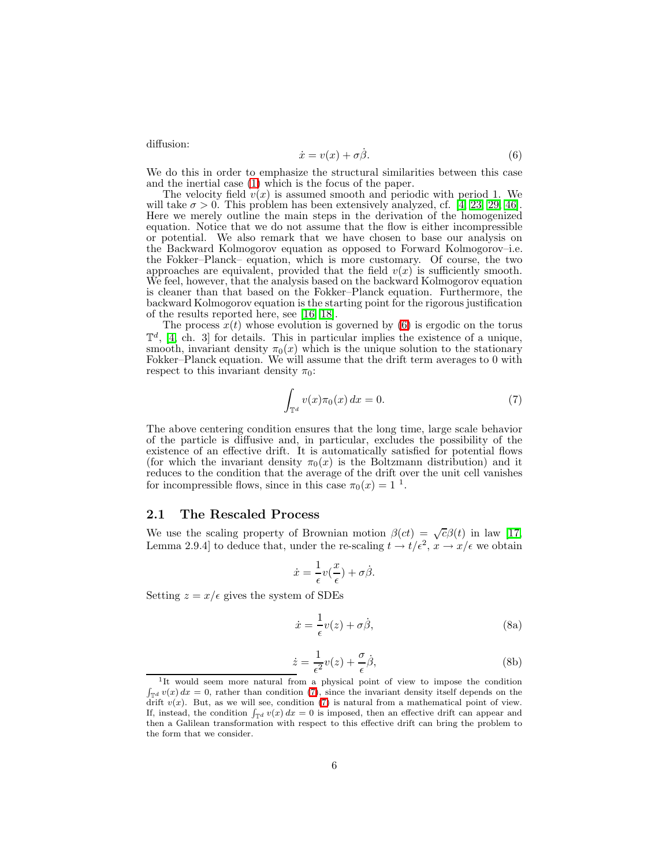<span id="page-5-0"></span>diffusion:

$$
\dot{x} = v(x) + \sigma \dot{\beta}.\tag{6}
$$

We do this in order to emphasize the structural similarities between this case and the inertial case [\(1\)](#page-1-0) which is the focus of the paper.

The velocity field  $v(x)$  is assumed smooth and periodic with period 1. We will take  $\sigma > 0$ . This problem has been extensively analyzed, cf. [\[4,](#page-28-2) [23,](#page-29-0) [29,](#page-29-1) [46\]](#page-30-0). Here we merely outline the main steps in the derivation of the homogenized equation. Notice that we do not assume that the flow is either incompressible or potential. We also remark that we have chosen to base our analysis on the Backward Kolmogorov equation as opposed to Forward Kolmogorov–i.e. the Fokker–Planck– equation, which is more customary. Of course, the two approaches are equivalent, provided that the field  $v(x)$  is sufficiently smooth. We feel, however, that the analysis based on the backward Kolmogorov equation is cleaner than that based on the Fokker–Planck equation. Furthermore, the backward Kolmogorov equation is the starting point for the rigorous justification of the results reported here, see [\[16,](#page-28-11) [18\]](#page-28-10).

The process  $x(t)$  whose evolution is governed by [\(6\)](#page-5-0) is ergodic on the torus  $\mathbb{T}^d$ , [\[4,](#page-28-2) ch. 3] for details. This in particular implies the existence of a unique, smooth, invariant density  $\pi_0(x)$  which is the unique solution to the stationary Fokker–Planck equation. We will assume that the drift term averages to 0 with respect to this invariant density  $\pi_0$ :

<span id="page-5-1"></span>
$$
\int_{\mathbb{T}^d} v(x)\pi_0(x) dx = 0.
$$
 (7)

The above centering condition ensures that the long time, large scale behavior of the particle is diffusive and, in particular, excludes the possibility of the existence of an effective drift. It is automatically satisfied for potential flows (for which the invariant density  $\pi_0(x)$  is the Boltzmann distribution) and it reduces to the condition that the average of the drift over the unit cell vanishes for incompressible flows, since in this case  $\pi_0(x) = 1$ <sup>1</sup>.

#### 2.1 The Rescaled Process

We use the scaling property of Brownian motion  $\beta(ct) = \sqrt{c}\beta(t)$  in law [\[17,](#page-28-12) Lemma 2.9.4] to deduce that, under the re-scaling  $t \to t/\epsilon^2$ ,  $x \to x/\epsilon$  we obtain

$$
\dot{x} = \frac{1}{\epsilon}v(\frac{x}{\epsilon}) + \sigma\dot{\beta}.
$$

<span id="page-5-2"></span>Setting  $z = x/\epsilon$  gives the system of SDEs

$$
\dot{x} = -\frac{1}{\epsilon}v(z) + \sigma\dot{\beta},\tag{8a}
$$

$$
\dot{z} = \frac{1}{\epsilon^2} v(z) + \frac{\sigma}{\epsilon} \dot{\beta},\tag{8b}
$$

<sup>&</sup>lt;sup>1</sup>It would seem more natural from a physical point of view to impose the condition  $\int_{\mathbb{T}^d} v(x) dx = 0$ , rather than condition [\(7\)](#page-5-1), since the invariant density itself depends on the drift  $v(x)$ . But, as we will see, condition [\(7\)](#page-5-1) is natural from a mathematical point of view. If, instead, the condition  $\int_{\mathbb{T}^d} v(x) dx = 0$  is imposed, then an effective drift can appear and then a Galilean transformation with respect to this effective drift can bring the problem to the form that we consider.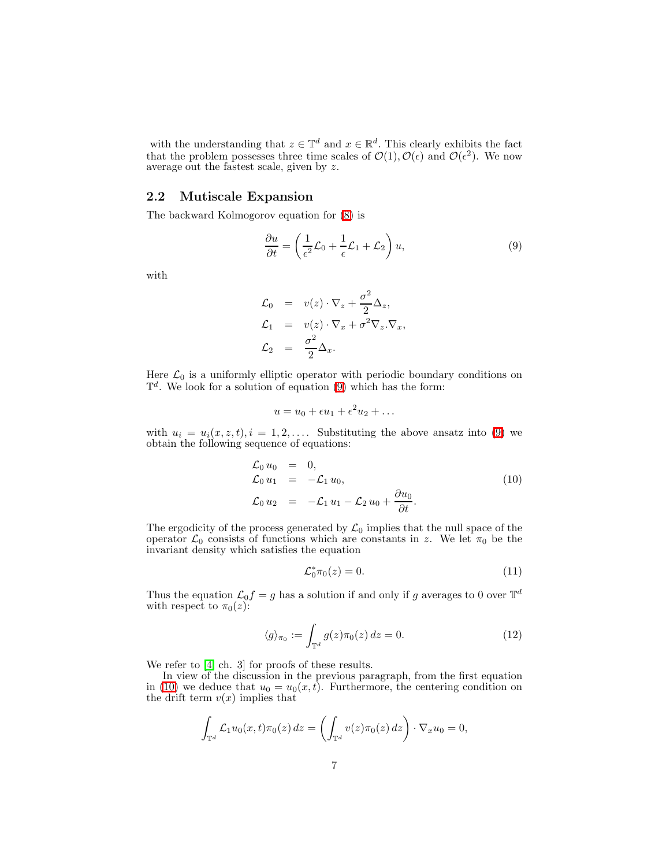with the understanding that  $z \in \mathbb{T}^d$  and  $x \in \mathbb{R}^d$ . This clearly exhibits the fact that the problem possesses three time scales of  $\mathcal{O}(1), \mathcal{O}(\epsilon)$  and  $\mathcal{O}(\epsilon^2)$ . We now average out the fastest scale, given by z.

#### 2.2 Mutiscale Expansion

The backward Kolmogorov equation for [\(8\)](#page-5-2) is

<span id="page-6-0"></span>
$$
\frac{\partial u}{\partial t} = \left(\frac{1}{\epsilon^2} \mathcal{L}_0 + \frac{1}{\epsilon} \mathcal{L}_1 + \mathcal{L}_2\right) u,\tag{9}
$$

with

$$
\mathcal{L}_0 = v(z) \cdot \nabla_z + \frac{\sigma^2}{2} \Delta_z, \n\mathcal{L}_1 = v(z) \cdot \nabla_x + \sigma^2 \nabla_z \cdot \nabla_x, \n\mathcal{L}_2 = \frac{\sigma^2}{2} \Delta_x.
$$

Here  $\mathcal{L}_0$  is a uniformly elliptic operator with periodic boundary conditions on  $\mathbb{T}^d$ . We look for a solution of equation [\(9\)](#page-6-0) which has the form:

$$
u = u_0 + \epsilon u_1 + \epsilon^2 u_2 + \dots
$$

<span id="page-6-1"></span>with  $u_i = u_i(x, z, t), i = 1, 2, \ldots$ . Substituting the above ansatz into [\(9\)](#page-6-0) we obtain the following sequence of equations:

$$
\mathcal{L}_0 u_0 = 0,
$$
  
\n
$$
\mathcal{L}_0 u_1 = -\mathcal{L}_1 u_0,
$$
  
\n
$$
\mathcal{L}_0 u_2 = -\mathcal{L}_1 u_1 - \mathcal{L}_2 u_0 + \frac{\partial u_0}{\partial t}.
$$
\n(10)

The ergodicity of the process generated by  $\mathcal{L}_0$  implies that the null space of the operator  $\mathcal{L}_0$  consists of functions which are constants in z. We let  $\pi_0$  be the invariant density which satisfies the equation

<span id="page-6-3"></span>
$$
\mathcal{L}_0^* \pi_0(z) = 0. \tag{11}
$$

<span id="page-6-2"></span>Thus the equation  $\mathcal{L}_0 f = g$  has a solution if and only if g averages to 0 over  $\mathbb{T}^d$ with respect to  $\pi_0(z)$ :

$$
\langle g \rangle_{\pi_0} := \int_{\mathbb{T}^d} g(z) \pi_0(z) dz = 0.
$$
 (12)

We refer to [\[4,](#page-28-2) ch. 3] for proofs of these results.

In view of the discussion in the previous paragraph, from the first equation in [\(10\)](#page-6-1) we deduce that  $u_0 = u_0(x, t)$ . Furthermore, the centering condition on the drift term  $v(x)$  implies that

$$
\int_{\mathbb{T}^d} \mathcal{L}_1 u_0(x,t) \pi_0(z) dz = \left( \int_{\mathbb{T}^d} v(z) \pi_0(z) dz \right) \cdot \nabla_x u_0 = 0,
$$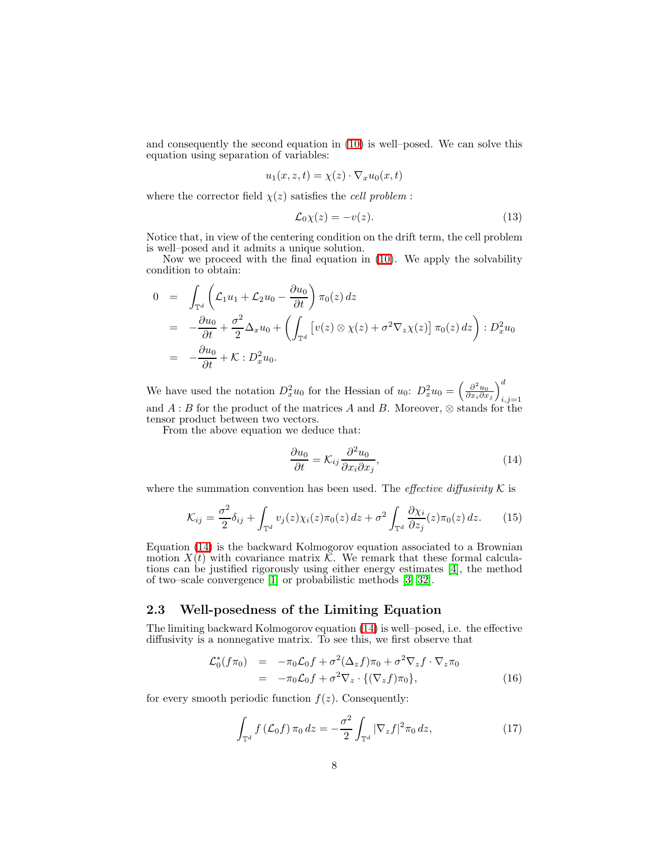and consequently the second equation in [\(10\)](#page-6-1) is well–posed. We can solve this equation using separation of variables:

$$
u_1(x, z, t) = \chi(z) \cdot \nabla_x u_0(x, t)
$$

where the corrector field  $\chi(z)$  satisfies the *cell problem* :

<span id="page-7-2"></span>
$$
\mathcal{L}_0 \chi(z) = -v(z). \tag{13}
$$

Notice that, in view of the centering condition on the drift term, the cell problem is well–posed and it admits a unique solution.

Now we proceed with the final equation in [\(10\)](#page-6-1). We apply the solvability condition to obtain:

$$
0 = \int_{\mathbb{T}^d} \left( \mathcal{L}_1 u_1 + \mathcal{L}_2 u_0 - \frac{\partial u_0}{\partial t} \right) \pi_0(z) dz
$$
  
\n
$$
= -\frac{\partial u_0}{\partial t} + \frac{\sigma^2}{2} \Delta_x u_0 + \left( \int_{\mathbb{T}^d} \left[ v(z) \otimes \chi(z) + \sigma^2 \nabla_z \chi(z) \right] \pi_0(z) dz \right) : D_x^2 u_0
$$
  
\n
$$
= -\frac{\partial u_0}{\partial t} + \mathcal{K} : D_x^2 u_0.
$$

We have used the notation  $D_x^2 u_0$  for the Hessian of  $u_0$ :  $D_x^2 u_0 = \left(\frac{\partial^2 u_0}{\partial x_i \partial x_j}\right)$  $\setminus^d$  $i,j=1$ and  $A : B$  for the product of the matrices A and B. Moreover,  $\otimes$  stands for the tensor product between two vectors.

From the above equation we deduce that:

<span id="page-7-4"></span><span id="page-7-0"></span>
$$
\frac{\partial u_0}{\partial t} = \mathcal{K}_{ij} \frac{\partial^2 u_0}{\partial x_i \partial x_j},\tag{14}
$$

where the summation convention has been used. The *effective diffusivity*  $K$  is

$$
\mathcal{K}_{ij} = \frac{\sigma^2}{2} \delta_{ij} + \int_{\mathbb{T}^d} v_j(z) \chi_i(z) \pi_0(z) dz + \sigma^2 \int_{\mathbb{T}^d} \frac{\partial \chi_i}{\partial z_j}(z) \pi_0(z) dz.
$$
 (15)

Equation [\(14\)](#page-7-0) is the backward Kolmogorov equation associated to a Brownian motion  $X(t)$  with covariance matrix  $\tilde{\mathcal{K}}$ . We remark that these formal calculations can be justified rigorously using either energy estimates [\[4\]](#page-28-2), the method of two–scale convergence [\[1\]](#page-27-1) or probabilistic methods [\[3,](#page-27-2) [32\]](#page-29-10).

## 2.3 Well-posedness of the Limiting Equation

<span id="page-7-1"></span>The limiting backward Kolmogorov equation [\(14\)](#page-7-0) is well–posed, i.e. the effective diffusivity is a nonnegative matrix. To see this, we first observe that

$$
\mathcal{L}_0^*(f\pi_0) = -\pi_0 \mathcal{L}_0 f + \sigma^2 (\Delta_z f) \pi_0 + \sigma^2 \nabla_z f \cdot \nabla_z \pi_0
$$
  
= 
$$
-\pi_0 \mathcal{L}_0 f + \sigma^2 \nabla_z \cdot \{ (\nabla_z f) \pi_0 \},
$$
 (16)

for every smooth periodic function  $f(z)$ . Consequently:

<span id="page-7-3"></span>
$$
\int_{\mathbb{T}^d} f\left(\mathcal{L}_0 f\right) \pi_0 \, dz = -\frac{\sigma^2}{2} \int_{\mathbb{T}^d} |\nabla_z f|^2 \pi_0 \, dz,\tag{17}
$$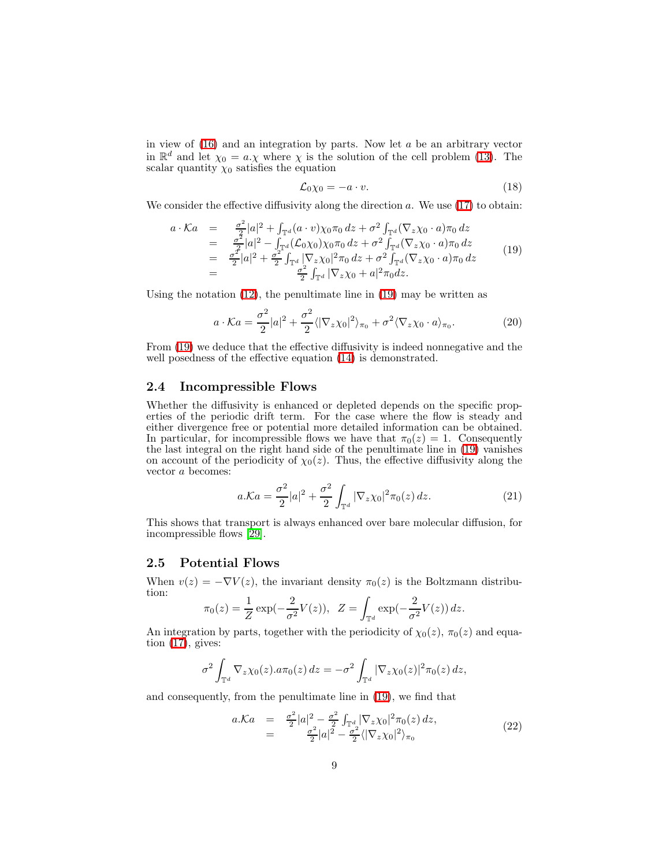in view of  $(16)$  and an integration by parts. Now let  $a$  be an arbitrary vector in  $\mathbb{R}^d$  and let  $\chi_0 = a.\chi$  where  $\chi$  is the solution of the cell problem [\(13\)](#page-7-2). The scalar quantity  $\chi_0$  satisfies the equation

<span id="page-8-2"></span><span id="page-8-1"></span>
$$
\mathcal{L}_0 \chi_0 = -a \cdot v. \tag{18}
$$

<span id="page-8-0"></span>We consider the effective diffusivity along the direction  $a$ . We use [\(17\)](#page-7-3) to obtain:

$$
a \cdot Ka = \frac{\sigma^2}{2}|a|^2 + \int_{\mathbb{T}^d} (a \cdot v)\chi_0 \pi_0 dz + \sigma^2 \int_{\mathbb{T}^d} (\nabla_z \chi_0 \cdot a) \pi_0 dz = \frac{\sigma^2}{2}|a|^2 - \int_{\mathbb{T}^d} (\mathcal{L}_0 \chi_0) \chi_0 \pi_0 dz + \sigma^2 \int_{\mathbb{T}^d} (\nabla_z \chi_0 \cdot a) \pi_0 dz = \frac{\sigma^2}{2}|a|^2 + \frac{\sigma^2}{2} \int_{\mathbb{T}^d} |\nabla_z \chi_0|^2 \pi_0 dz + \sigma^2 \int_{\mathbb{T}^d} (\nabla_z \chi_0 \cdot a) \pi_0 dz = \frac{\sigma^2}{2} \int_{\mathbb{T}^d} |\nabla_z \chi_0 + a|^2 \pi_0 dz.
$$
 (19)

Using the notation  $(12)$ , the penultimate line in  $(19)$  may be written as

$$
a \cdot \mathcal{K}a = \frac{\sigma^2}{2}|a|^2 + \frac{\sigma^2}{2} \langle |\nabla_z \chi_0|^2 \rangle_{\pi_0} + \sigma^2 \langle \nabla_z \chi_0 \cdot a \rangle_{\pi_0}.
$$
 (20)

From [\(19\)](#page-8-0) we deduce that the effective diffusivity is indeed nonnegative and the well posedness of the effective equation  $(14)$  is demonstrated.

#### 2.4 Incompressible Flows

Whether the diffusivity is enhanced or depleted depends on the specific properties of the periodic drift term. For the case where the flow is steady and either divergence free or potential more detailed information can be obtained. In particular, for incompressible flows we have that  $\pi_0(z) = 1$ . Consequently the last integral on the right hand side of the penultimate line in [\(19\)](#page-8-0) vanishes on account of the periodicity of  $\chi_0(z)$ . Thus, the effective diffusivity along the vector a becomes:

$$
a.\mathcal{K}a = \frac{\sigma^2}{2}|a|^2 + \frac{\sigma^2}{2}\int_{\mathbb{T}^d} |\nabla_z \chi_0|^2 \pi_0(z) \, dz. \tag{21}
$$

This shows that transport is always enhanced over bare molecular diffusion, for incompressible flows [\[29\]](#page-29-1).

#### 2.5 Potential Flows

When  $v(z) = -\nabla V(z)$ , the invariant density  $\pi_0(z)$  is the Boltzmann distribution:

$$
\pi_0(z) = \frac{1}{Z} \exp(-\frac{2}{\sigma^2} V(z)), \ \ Z = \int_{\mathbb{T}^d} \exp(-\frac{2}{\sigma^2} V(z)) \, dz.
$$

An integration by parts, together with the periodicity of  $\chi_0(z)$ ,  $\pi_0(z)$  and equation  $(17)$ , gives:

$$
\sigma^2 \int_{\mathbb{T}^d} \nabla_z \chi_0(z) . a \pi_0(z) dz = -\sigma^2 \int_{\mathbb{T}^d} |\nabla_z \chi_0(z)|^2 \pi_0(z) dz,
$$

and consequently, from the penultimate line in [\(19\)](#page-8-0), we find that

<span id="page-8-3"></span>
$$
a.\mathcal{K}a = \frac{\sigma^2}{2}|a|^2 - \frac{\sigma^2}{2}\int_{\mathbb{T}^d} |\nabla_z \chi_0|^2 \pi_0(z) dz, = \frac{\sigma^2}{2}|a|^2 - \frac{\sigma^2}{2}\langle |\nabla_z \chi_0|^2 \rangle_{\pi_0}
$$
(22)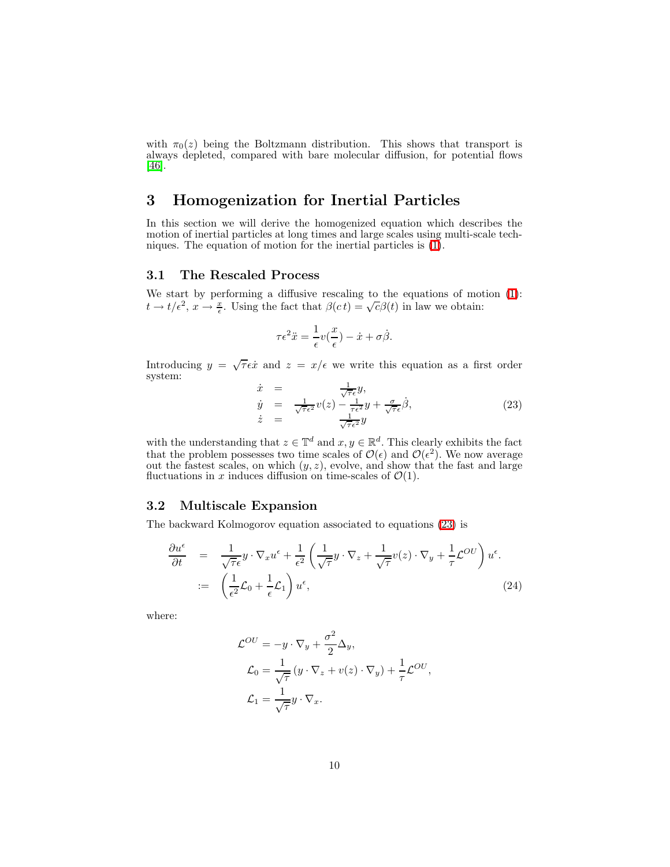with  $\pi_0(z)$  being the Boltzmann distribution. This shows that transport is always depleted, compared with bare molecular diffusion, for potential flows [\[46\]](#page-30-0).

## <span id="page-9-0"></span>3 Homogenization for Inertial Particles

In this section we will derive the homogenized equation which describes the motion of inertial particles at long times and large scales using multi-scale techniques. The equation of motion for the inertial particles is [\(1\)](#page-1-0).

#### 3.1 The Rescaled Process

We start by performing a diffusive rescaling to the equations of motion [\(1\)](#page-1-0):  $t \to t/\epsilon^2$ ,  $x \to \frac{x}{\epsilon}$ . Using the fact that  $\beta(ct) = \sqrt{c\beta(t)}$  in law we obtain:

$$
\tau \epsilon^2 \ddot{x} = \frac{1}{\epsilon} v(\frac{x}{\epsilon}) - \dot{x} + \sigma \dot{\beta}.
$$

<span id="page-9-1"></span>Introducing  $y = \sqrt{\tau} \epsilon \dot{x}$  and  $z = x/\epsilon$  we write this equation as a first order system:

$$
\dot{x} = \frac{1}{\sqrt{\tau} \epsilon^2} y, \n\dot{y} = \frac{1}{\sqrt{\tau} \epsilon^2} v(z) - \frac{1}{\tau \epsilon^2} y + \frac{\sigma}{\sqrt{\tau} \epsilon} \dot{\beta}, \n\dot{z} = \frac{1}{\sqrt{\tau} \epsilon^2} y
$$
\n(23)

with the understanding that  $z \in \mathbb{T}^d$  and  $x, y \in \mathbb{R}^d$ . This clearly exhibits the fact that the problem possesses two time scales of  $\mathcal{O}(\epsilon)$  and  $\mathcal{O}(\epsilon^2)$ . We now average out the fastest scales, on which  $(y, z)$ , evolve, and show that the fast and large fluctuations in x induces diffusion on time-scales of  $\mathcal{O}(1)$ .

### 3.2 Multiscale Expansion

<span id="page-9-2"></span>The backward Kolmogorov equation associated to equations [\(23\)](#page-9-1) is

$$
\frac{\partial u^{\epsilon}}{\partial t} = \frac{1}{\sqrt{\tau} \epsilon} y \cdot \nabla_x u^{\epsilon} + \frac{1}{\epsilon^2} \left( \frac{1}{\sqrt{\tau}} y \cdot \nabla_z + \frac{1}{\sqrt{\tau}} v(z) \cdot \nabla_y + \frac{1}{\tau} \mathcal{L}^{OU} \right) u^{\epsilon}.
$$
  
 :=  $\left( \frac{1}{\epsilon^2} \mathcal{L}_0 + \frac{1}{\epsilon} \mathcal{L}_1 \right) u^{\epsilon},$  (24)

where:

$$
\mathcal{L}^{OU} = -y \cdot \nabla_y + \frac{\sigma^2}{2} \Delta_y,
$$
  
\n
$$
\mathcal{L}_0 = \frac{1}{\sqrt{\tau}} (y \cdot \nabla_z + v(z) \cdot \nabla_y) + \frac{1}{\tau} \mathcal{L}^{OU},
$$
  
\n
$$
\mathcal{L}_1 = \frac{1}{\sqrt{\tau}} y \cdot \nabla_x.
$$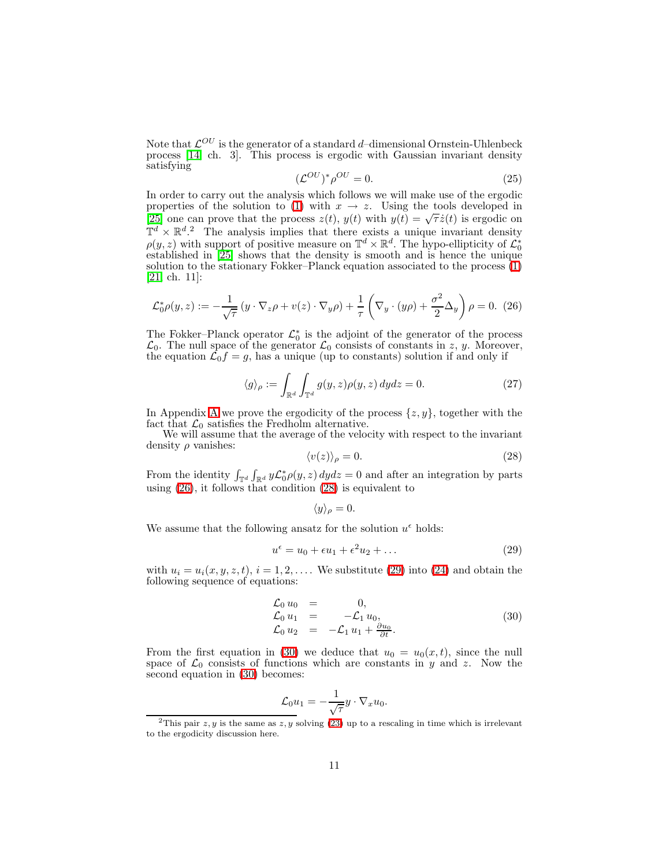<span id="page-10-4"></span>Note that  $\mathcal{L}^{OU}$  is the generator of a standard d–dimensional Ornstein-Uhlenbeck process [\[14,](#page-28-13) ch. 3]. This process is ergodic with Gaussian invariant density satisfying

$$
(\mathcal{L}^{OU})^* \rho^{OU} = 0. \tag{25}
$$

In order to carry out the analysis which follows we will make use of the ergodic properties of the solution to [\(1\)](#page-1-0) with  $x \to z$ . Using the tools developed in [\[25\]](#page-29-11) one can prove that the process  $z(t)$ ,  $y(t)$  with  $y(t) = \sqrt{\tau} \dot{z}(t)$  is ergodic on  $\mathbb{T}^d \times \mathbb{R}^{d}$ . The analysis implies that there exists a unique invariant density  $\rho(y, z)$  with support of positive measure on  $\mathbb{T}^d \times \mathbb{R}^d$ . The hypo-ellipticity of  $\mathcal{L}_0^*$  established in [\[25\]](#page-29-11) shows that the density is smooth and is hence the unique solution to the stationary Fokker–Planck equation associated to the process [\(1\)](#page-1-0) [\[21,](#page-28-14) ch. 11]:

<span id="page-10-0"></span>
$$
\mathcal{L}_0^* \rho(y, z) := -\frac{1}{\sqrt{\tau}} \left( y \cdot \nabla_z \rho + v(z) \cdot \nabla_y \rho \right) + \frac{1}{\tau} \left( \nabla_y \cdot (y \rho) + \frac{\sigma^2}{2} \Delta_y \right) \rho = 0. \tag{26}
$$

The Fokker–Planck operator  $\mathcal{L}_0^*$  is the adjoint of the generator of the process  $\mathcal{L}_0$ . The null space of the generator  $\mathcal{L}_0$  consists of constants in z, y. Moreover, the equation  $\mathcal{L}_0 f = g$ , has a unique (up to constants) solution if and only if

$$
\langle g \rangle_{\rho} := \int_{\mathbb{R}^d} \int_{\mathbb{T}^d} g(y, z) \rho(y, z) \, dy dz = 0. \tag{27}
$$

In [A](#page-25-0)ppendix A we prove the ergodicity of the process  $\{z, y\}$ , together with the fact that  $\mathcal{L}_0$  satisfies the Fredholm alternative.

<span id="page-10-1"></span>We will assume that the average of the velocity with respect to the invariant density  $\rho$  vanishes:

$$
\langle v(z)\rangle_{\rho} = 0.\tag{28}
$$

From the identity  $\int_{\mathbb{T}^d} \int_{\mathbb{R}^d} y \mathcal{L}_0^* \rho(y, z) dy dz = 0$  and after an integration by parts using [\(26\)](#page-10-0), it follows that condition [\(28\)](#page-10-1) is equivalent to

<span id="page-10-2"></span>
$$
\langle y \rangle_{\rho} = 0.
$$

We assume that the following ansatz for the solution  $u^{\epsilon}$  holds:

<span id="page-10-3"></span>
$$
u^{\epsilon} = u_0 + \epsilon u_1 + \epsilon^2 u_2 + \dots \tag{29}
$$

with  $u_i = u_i(x, y, z, t)$ ,  $i = 1, 2, \ldots$  We substitute [\(29\)](#page-10-2) into [\(24\)](#page-9-2) and obtain the following sequence of equations:

$$
\begin{array}{rcl}\n\mathcal{L}_0 u_0 & = & 0, \\
\mathcal{L}_0 u_1 & = & -\mathcal{L}_1 u_0, \\
\mathcal{L}_0 u_2 & = & -\mathcal{L}_1 u_1 + \frac{\partial u_0}{\partial t}.\n\end{array} \tag{30}
$$

From the first equation in [\(30\)](#page-10-3) we deduce that  $u_0 = u_0(x, t)$ , since the null space of  $\mathcal{L}_0$  consists of functions which are constants in y and z. Now the second equation in [\(30\)](#page-10-3) becomes:

$$
\mathcal{L}_0 u_1 = -\frac{1}{\sqrt{\tau}} y \cdot \nabla_x u_0.
$$

<sup>&</sup>lt;sup>2</sup>This pair  $z, y$  is the same as  $z, y$  solving [\(23\)](#page-9-1) up to a rescaling in time which is irrelevant to the ergodicity discussion here.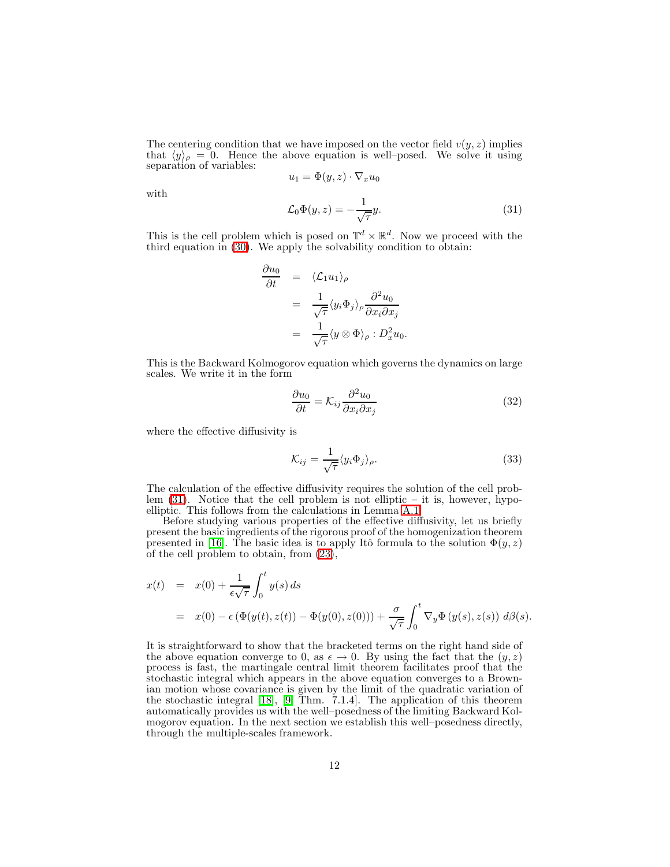The centering condition that we have imposed on the vector field  $v(y, z)$  implies that  $\langle y \rangle_{\rho} = 0$ . Hence the above equation is well–posed. We solve it using separation of variables:

$$
u_1 = \Phi(y, z) \cdot \nabla_x u_0
$$

<span id="page-11-0"></span>with

$$
\mathcal{L}_0 \Phi(y, z) = -\frac{1}{\sqrt{\tau}} y.
$$
\n(31)

This is the cell problem which is posed on  $\mathbb{T}^d \times \mathbb{R}^d$ . Now we proceed with the third equation in [\(30\)](#page-10-3). We apply the solvability condition to obtain:

$$
\frac{\partial u_0}{\partial t} = \langle \mathcal{L}_1 u_1 \rangle_{\rho} \n= \frac{1}{\sqrt{\tau}} \langle y_i \Phi_j \rangle_{\rho} \frac{\partial^2 u_0}{\partial x_i \partial x_j} \n= \frac{1}{\sqrt{\tau}} \langle y \otimes \Phi \rangle_{\rho} : D_x^2 u_0.
$$

<span id="page-11-1"></span>This is the Backward Kolmogorov equation which governs the dynamics on large scales. We write it in the form

$$
\frac{\partial u_0}{\partial t} = \mathcal{K}_{ij} \frac{\partial^2 u_0}{\partial x_i \partial x_j} \tag{32}
$$

where the effective diffusivity is

$$
\mathcal{K}_{ij} = \frac{1}{\sqrt{\tau}} \langle y_i \Phi_j \rangle_{\rho}.
$$
\n(33)

The calculation of the effective diffusivity requires the solution of the cell problem  $(31)$ . Notice that the cell problem is not elliptic – it is, however, hypoelliptic. This follows from the calculations in Lemma [A.1.](#page-26-0)

Before studying various properties of the effective diffusivity, let us briefly present the basic ingredients of the rigorous proof of the homogenization theorem presented in [\[16\]](#page-28-11). The basic idea is to apply Itô formula to the solution  $\Phi(y, z)$ of the cell problem to obtain, from [\(23\)](#page-9-1),

$$
x(t) = x(0) + \frac{1}{\epsilon \sqrt{\tau}} \int_0^t y(s) ds
$$
  
=  $x(0) - \epsilon (\Phi(y(t), z(t)) - \Phi(y(0), z(0))) + \frac{\sigma}{\sqrt{\tau}} \int_0^t \nabla_y \Phi(y(s), z(s)) d\beta(s).$ 

It is straightforward to show that the bracketed terms on the right hand side of the above equation converge to 0, as  $\epsilon \to 0$ . By using the fact that the  $(y, z)$ process is fast, the martingale central limit theorem facilitates proof that the stochastic integral which appears in the above equation converges to a Brownian motion whose covariance is given by the limit of the quadratic variation of the stochastic integral [\[18\]](#page-28-10), [\[9,](#page-28-15) Thm. 7.1.4]. The application of this theorem automatically provides us with the well–posedness of the limiting Backward Kolmogorov equation. In the next section we establish this well–posedness directly, through the multiple-scales framework.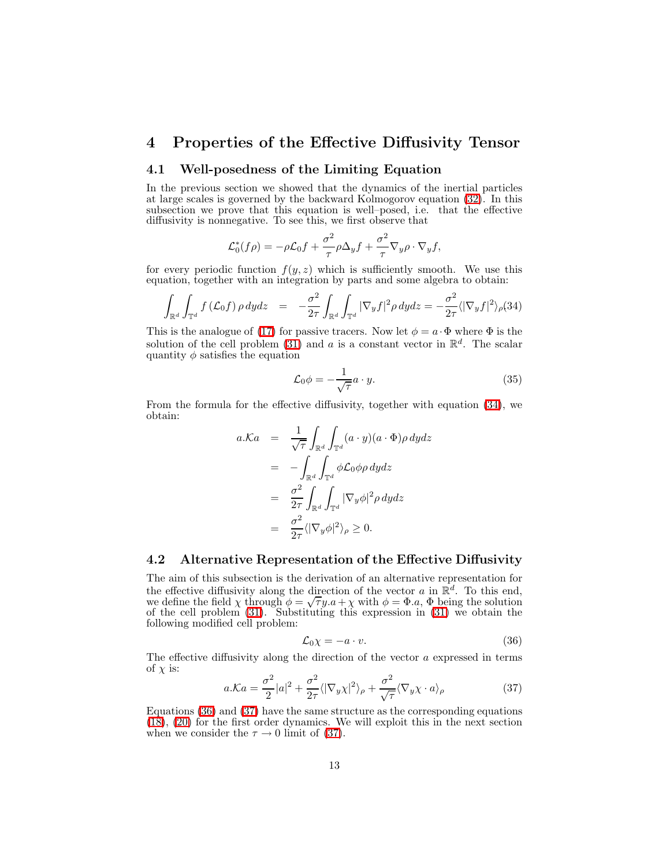## <span id="page-12-0"></span>4 Properties of the Effective Diffusivity Tensor

### 4.1 Well-posedness of the Limiting Equation

In the previous section we showed that the dynamics of the inertial particles at large scales is governed by the backward Kolmogorov equation [\(32\)](#page-11-1). In this subsection we prove that this equation is well–posed, i.e. that the effective diffusivity is nonnegative. To see this, we first observe that

$$
\mathcal{L}_0^*(f\rho) = -\rho \mathcal{L}_0 f + \frac{\sigma^2}{\tau} \rho \Delta_y f + \frac{\sigma^2}{\tau} \nabla_y \rho \cdot \nabla_y f,
$$

for every periodic function  $f(y, z)$  which is sufficiently smooth. We use this equation, together with an integration by parts and some algebra to obtain:

$$
\int_{\mathbb{R}^d} \int_{\mathbb{T}^d} f\left(\mathcal{L}_0 f\right) \rho \, dydz \quad = \quad -\frac{\sigma^2}{2\tau} \int_{\mathbb{R}^d} \int_{\mathbb{T}^d} |\nabla_y f|^2 \rho \, dydz = -\frac{\sigma^2}{2\tau} \langle |\nabla_y f|^2 \rangle_{\rho} (34)
$$

<span id="page-12-1"></span>This is the analogue of [\(17\)](#page-7-3) for passive tracers. Now let  $\phi = a \cdot \Phi$  where  $\Phi$  is the solution of the cell problem [\(31\)](#page-11-0) and a is a constant vector in  $\mathbb{R}^d$ . The scalar quantity  $\phi$  satisfies the equation

$$
\mathcal{L}_0 \phi = -\frac{1}{\sqrt{\tau}} a \cdot y. \tag{35}
$$

From the formula for the effective diffusivity, together with equation [\(34\)](#page-12-1), we obtain:

$$
a.\mathcal{K}a = \frac{1}{\sqrt{\tau}} \int_{\mathbb{R}^d} \int_{\mathbb{T}^d} (a \cdot y)(a \cdot \Phi) \rho \, dy dz
$$
  
\n
$$
= - \int_{\mathbb{R}^d} \int_{\mathbb{T}^d} \phi \mathcal{L}_0 \phi \rho \, dy dz
$$
  
\n
$$
= \frac{\sigma^2}{2\tau} \int_{\mathbb{R}^d} \int_{\mathbb{T}^d} |\nabla_y \phi|^2 \rho \, dy dz
$$
  
\n
$$
= \frac{\sigma^2}{2\tau} \langle |\nabla_y \phi|^2 \rangle_{\rho} \ge 0.
$$

### 4.2 Alternative Representation of the Effective Diffusivity

The aim of this subsection is the derivation of an alternative representation for the effective diffusivity along the direction of the vector  $a$  in  $\mathbb{R}^d$ . To this end, we define the field  $\chi$  through  $\phi = \sqrt{\tau}y.a + \chi$  with  $\phi = \Phi.a$ ,  $\Phi$  being the solution of the cell problem [\(31\)](#page-11-0). Substituting this expression in [\(31\)](#page-11-0) we obtain the following modified cell problem:

$$
\mathcal{L}_0 \chi = -a \cdot v. \tag{36}
$$

<span id="page-12-3"></span>The effective diffusivity along the direction of the vector  $a$  expressed in terms of  $\chi$  is:

<span id="page-12-2"></span>
$$
a.\mathcal{K}a = \frac{\sigma^2}{2}|a|^2 + \frac{\sigma^2}{2\tau}\langle|\nabla_y\chi|^2\rangle_\rho + \frac{\sigma^2}{\sqrt{\tau}}\langle\nabla_y\chi\cdot a\rangle_\rho\tag{37}
$$

Equations [\(36\)](#page-12-2) and [\(37\)](#page-12-3) have the same structure as the corresponding equations [\(18\)](#page-8-1), [\(20\)](#page-8-2) for the first order dynamics. We will exploit this in the next section when we consider the  $\tau \to 0$  limit of [\(37\)](#page-12-3).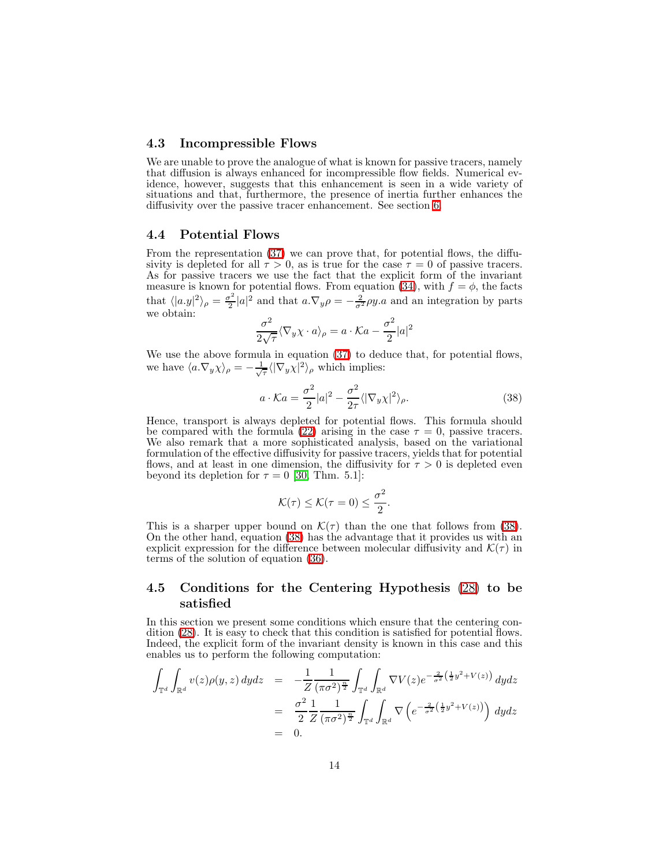#### 4.3 Incompressible Flows

We are unable to prove the analogue of what is known for passive tracers, namely that diffusion is always enhanced for incompressible flow fields. Numerical evidence, however, suggests that this enhancement is seen in a wide variety of situations and that, furthermore, the presence of inertia further enhances the diffusivity over the passive tracer enhancement. See section [6.](#page-19-0)

#### 4.4 Potential Flows

From the representation  $(37)$  we can prove that, for potential flows, the diffusivity is depleted for all  $\tau > 0$ , as is true for the case  $\tau = 0$  of passive tracers. As for passive tracers we use the fact that the explicit form of the invariant measure is known for potential flows. From equation [\(34\)](#page-12-1), with  $f = \phi$ , the facts that  $\langle |a \cdot y|^2 \rangle_{\rho} = \frac{\sigma^2}{2}$  $\frac{\partial^2}{\partial z^2} |a|^2$  and that  $a.\nabla_y \rho = -\frac{2}{\sigma^2} \rho y.a$  and an integration by parts we obtain:

$$
\frac{\sigma^2}{2\sqrt{\tau}} \langle \nabla_y \chi \cdot a \rangle_\rho = a \cdot \mathcal{K} a - \frac{\sigma^2}{2} |a|^2
$$

We use the above formula in equation [\(37\)](#page-12-3) to deduce that, for potential flows, we have  $\langle a.\nabla_y \chi \rangle_\rho = -\frac{1}{\sqrt{\tau}} \langle |\nabla_y \chi|^2 \rangle_\rho$  which implies:

<span id="page-13-0"></span>
$$
a \cdot \mathcal{K}a = \frac{\sigma^2}{2}|a|^2 - \frac{\sigma^2}{2\tau} \langle |\nabla_y \chi|^2 \rangle_{\rho}.
$$
 (38)

Hence, transport is always depleted for potential flows. This formula should be compared with the formula [\(22\)](#page-8-3) arising in the case  $\tau = 0$ , passive tracers. We also remark that a more sophisticated analysis, based on the variational formulation of the effective diffusivity for passive tracers, yields that for potential flows, and at least in one dimension, the diffusivity for  $\tau > 0$  is depleted even beyond its depletion for  $\tau = 0$  [\[30,](#page-29-12) Thm. 5.1]:

$$
\mathcal{K}(\tau) \leq \mathcal{K}(\tau = 0) \leq \frac{\sigma^2}{2}.
$$

This is a sharper upper bound on  $\mathcal{K}(\tau)$  than the one that follows from [\(38\)](#page-13-0). On the other hand, equation [\(38\)](#page-13-0) has the advantage that it provides us with an explicit expression for the difference between molecular diffusivity and  $\mathcal{K}(\tau)$  in terms of the solution of equation [\(36\)](#page-12-2).

### 4.5 Conditions for the Centering Hypothesis [\(28\)](#page-10-1) to be satisfied

In this section we present some conditions which ensure that the centering condition [\(28\)](#page-10-1). It is easy to check that this condition is satisfied for potential flows. Indeed, the explicit form of the invariant density is known in this case and this enables us to perform the following computation:

$$
\int_{\mathbb{T}^d} \int_{\mathbb{R}^d} v(z) \rho(y, z) \, dydz = -\frac{1}{Z} \frac{1}{(\pi \sigma^2)^{\frac{n}{2}}} \int_{\mathbb{T}^d} \int_{\mathbb{R}^d} \nabla V(z) e^{-\frac{2}{\sigma^2} \left(\frac{1}{2} y^2 + V(z)\right)} \, dydz
$$
\n
$$
= \frac{\sigma^2}{2} \frac{1}{Z} \frac{1}{(\pi \sigma^2)^{\frac{n}{2}}} \int_{\mathbb{T}^d} \int_{\mathbb{R}^d} \nabla \left(e^{-\frac{2}{\sigma^2} \left(\frac{1}{2} y^2 + V(z)\right)}\right) \, dydz
$$
\n
$$
= 0.
$$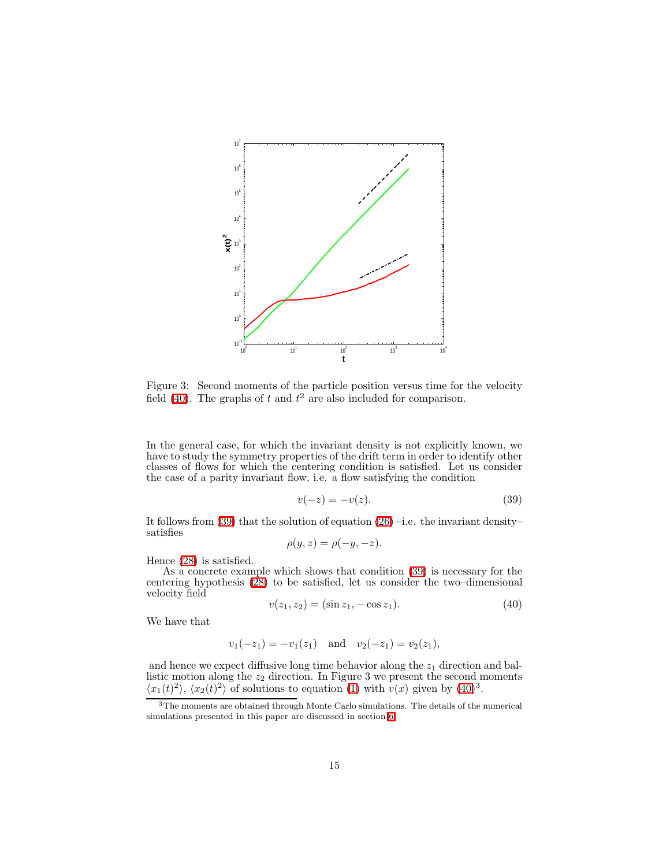

Figure 3: Second moments of the particle position versus time for the velocity field [\(40\)](#page-14-0). The graphs of t and  $t^2$  are also included for comparison.

In the general case, for which the invariant density is not explicitly known, we have to study the symmetry properties of the drift term in order to identify other classes of flows for which the centering condition is satisfied. Let us consider the case of a parity invariant flow, i.e. a flow satisfying the condition

<span id="page-14-1"></span>
$$
v(-z) = -v(z). \tag{39}
$$

It follows from [\(39\)](#page-14-1) that the solution of equation  $(26)$  –i.e. the invariant density– satisfies

$$
\rho(y, z) = \rho(-y, -z).
$$

Hence [\(28\)](#page-10-1) is satisfied.

<span id="page-14-0"></span>As a concrete example which shows that condition [\(39\)](#page-14-1) is necessary for the centering hypothesis [\(28\)](#page-10-1) to be satisfied, let us consider the two–dimensional velocity field

$$
v(z_1, z_2) = (\sin z_1, -\cos z_1). \tag{40}
$$

We have that

$$
v_1(-z_1) = -v_1(z_1)
$$
 and  $v_2(-z_1) = v_2(z_1)$ ,

and hence we expect diffusive long time behavior along the  $z<sub>1</sub>$  direction and ballistic motion along the  $z_2$  direction. In Figure 3 we present the second moments  $\langle x_1(t)^2 \rangle$ ,  $\langle x_2(t)^2 \rangle$  of solutions to equation [\(1\)](#page-1-0) with  $v(x)$  given by [\(40\)](#page-14-0)<sup>3</sup>.

<sup>3</sup>The moments are obtained through Monte Carlo simulations. The details of the numerical simulations presented in this paper are discussed in section [6.](#page-19-0)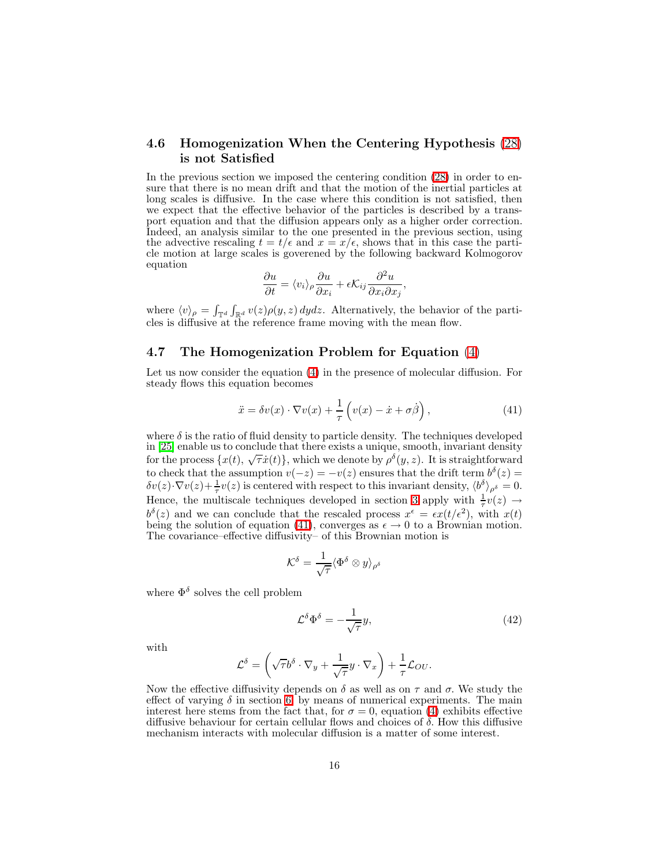### 4.6 Homogenization When the Centering Hypothesis [\(28\)](#page-10-1) is not Satisfied

In the previous section we imposed the centering condition [\(28\)](#page-10-1) in order to ensure that there is no mean drift and that the motion of the inertial particles at long scales is diffusive. In the case where this condition is not satisfied, then we expect that the effective behavior of the particles is described by a transport equation and that the diffusion appears only as a higher order correction. Indeed, an analysis similar to the one presented in the previous section, using the advective rescaling  $t = t/\epsilon$  and  $x = x/\epsilon$ , shows that in this case the particle motion at large scales is goverened by the following backward Kolmogorov equation

$$
\frac{\partial u}{\partial t} = \langle v_i \rangle_{\rho} \frac{\partial u}{\partial x_i} + \epsilon \mathcal{K}_{ij} \frac{\partial^2 u}{\partial x_i \partial x_j},
$$

where  $\langle v \rangle_{\rho} = \int_{\mathbb{T}^d} \int_{\mathbb{R}^d} v(z) \rho(y, z) dy dz$ . Alternatively, the behavior of the particles is diffusive at the reference frame moving with the mean flow.

#### 4.7 The Homogenization Problem for Equation [\(4\)](#page-1-2)

Let us now consider the equation [\(4\)](#page-1-2) in the presence of molecular diffusion. For steady flows this equation becomes

<span id="page-15-0"></span>
$$
\ddot{x} = \delta v(x) \cdot \nabla v(x) + \frac{1}{\tau} \left( v(x) - \dot{x} + \sigma \dot{\beta} \right), \tag{41}
$$

where  $\delta$  is the ratio of fluid density to particle density. The techniques developed in [\[25\]](#page-29-11) enable us to conclude that there exists a unique, smooth, invariant density for the process  $\{x(t), \sqrt{\tau}x(t)\}$ , which we denote by  $\rho^{\delta}(y, z)$ . It is straightforward to check that the assumption  $v(-z) = -v(z)$  ensures that the drift term  $b^{\delta}(z) =$  $\delta v(z) \cdot \nabla v(z) + \frac{1}{\tau} v(z)$  is centered with respect to this invariant density,  $\langle b^{\delta} \rangle_{\rho^{\delta}} = 0$ . Hence, the multiscale techniques developed in section [3](#page-9-0) apply with  $\frac{1}{\tau}v(z) \rightarrow$  $b^{\delta}(z)$  and we can conclude that the rescaled process  $x^{\epsilon} = \epsilon x(t/\epsilon^2)$ , with  $x(t)$ being the solution of equation [\(41\)](#page-15-0), converges as  $\epsilon \to 0$  to a Brownian motion. The covariance–effective diffusivity– of this Brownian motion is

<span id="page-15-1"></span>
$$
\mathcal{K}^\delta = \frac{1}{\sqrt{\tau}} \langle \Phi^\delta \otimes y \rangle_{\rho^\delta}
$$

where  $\Phi^{\delta}$  solves the cell problem

$$
\mathcal{L}^{\delta} \Phi^{\delta} = -\frac{1}{\sqrt{\tau}} y,\tag{42}
$$

with

$$
\mathcal{L}^{\delta} = \left(\sqrt{\tau}b^{\delta}\cdot\nabla_y + \frac{1}{\sqrt{\tau}}y\cdot\nabla_x\right) + \frac{1}{\tau}\mathcal{L}_{OU}.
$$

Now the effective diffusivity depends on  $\delta$  as well as on  $\tau$  and  $\sigma$ . We study the effect of varying  $\delta$  in section [6,](#page-19-0) by means of numerical experiments. The main interest here stems from the fact that, for  $\sigma = 0$ , equation [\(4\)](#page-1-2) exhibits effective diffusive behaviour for certain cellular flows and choices of  $\delta$ . How this diffusive mechanism interacts with molecular diffusion is a matter of some interest.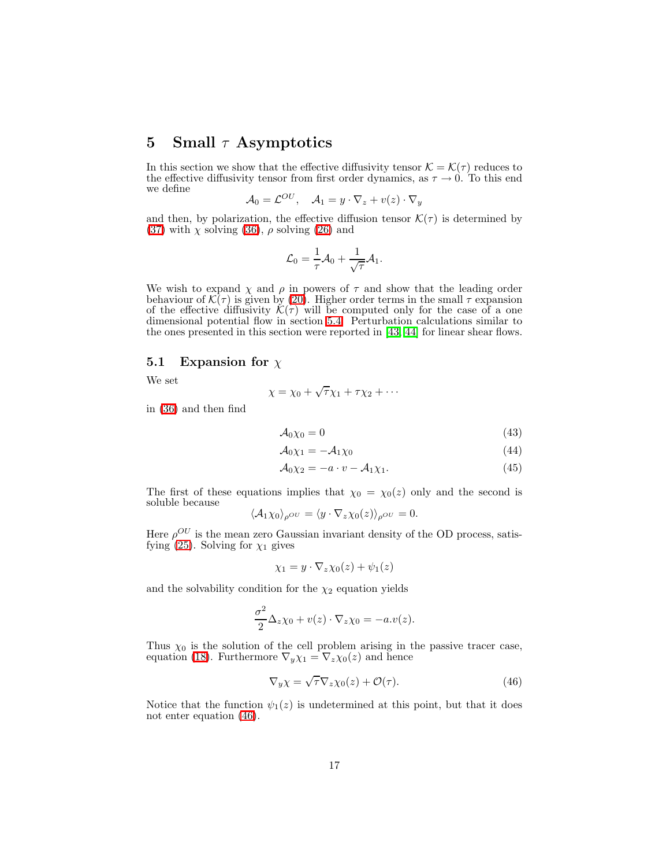## <span id="page-16-0"></span>5 Small  $\tau$  Asymptotics

In this section we show that the effective diffusivity tensor  $\mathcal{K} = \mathcal{K}(\tau)$  reduces to the effective diffusivity tensor from first order dynamics, as  $\tau \to 0$ . To this end we define

$$
\mathcal{A}_0 = \mathcal{L}^{OU}, \quad \mathcal{A}_1 = y \cdot \nabla_z + v(z) \cdot \nabla_y
$$

and then, by polarization, the effective diffusion tensor  $\mathcal{K}(\tau)$  is determined by [\(37\)](#page-12-3) with  $\chi$  solving [\(36\)](#page-12-2),  $\rho$  solving [\(26\)](#page-10-0) and

$$
\mathcal{L}_0 = \frac{1}{\tau} \mathcal{A}_0 + \frac{1}{\sqrt{\tau}} \mathcal{A}_1.
$$

We wish to expand  $\chi$  and  $\rho$  in powers of  $\tau$  and show that the leading order behaviour of  $\mathcal{K}(\tau)$  is given by [\(20\)](#page-8-2). Higher order terms in the small  $\tau$  expansion of the effective diffusivity  $\mathcal{K}(\tau)$  will be computed only for the case of a one dimensional potential flow in section [5.4.](#page-18-0) Perturbation calculations similar to the ones presented in this section were reported in [\[43,](#page-30-3) [44\]](#page-30-4) for linear shear flows.

### 5.1 Expansion for  $\chi$

We set

$$
\chi = \chi_0 + \sqrt{\tau} \chi_1 + \tau \chi_2 + \cdots
$$

in [\(36\)](#page-12-2) and then find

$$
A_0 \chi_0 = 0 \tag{43}
$$

$$
A_0 \chi_1 = -A_1 \chi_0 \tag{44}
$$

$$
\mathcal{A}_0 \chi_2 = -a \cdot v - \mathcal{A}_1 \chi_1. \tag{45}
$$

The first of these equations implies that  $\chi_0 = \chi_0(z)$  only and the second is soluble because

$$
\langle A_1 \chi_0 \rangle_{\rho} o v = \langle y \cdot \nabla_z \chi_0(z) \rangle_{\rho} o v = 0.
$$

Here  $\rho^{OU}$  is the mean zero Gaussian invariant density of the OD process, satis-fying [\(25\)](#page-10-4). Solving for  $\chi_1$  gives

$$
\chi_1 = y \cdot \nabla_z \chi_0(z) + \psi_1(z)
$$

and the solvability condition for the  $\chi_2$  equation yields

$$
\frac{\sigma^2}{2}\Delta_z \chi_0 + v(z) \cdot \nabla_z \chi_0 = -a.v(z).
$$

Thus  $\chi_0$  is the solution of the cell problem arising in the passive tracer case, equation [\(18\)](#page-8-1). Furthermore  $\nabla_y \chi_1 = \nabla_z \chi_0(z)$  and hence

<span id="page-16-1"></span>
$$
\nabla_y \chi = \sqrt{\tau} \nabla_z \chi_0(z) + \mathcal{O}(\tau). \tag{46}
$$

Notice that the function  $\psi_1(z)$  is undetermined at this point, but that it does not enter equation [\(46\)](#page-16-1).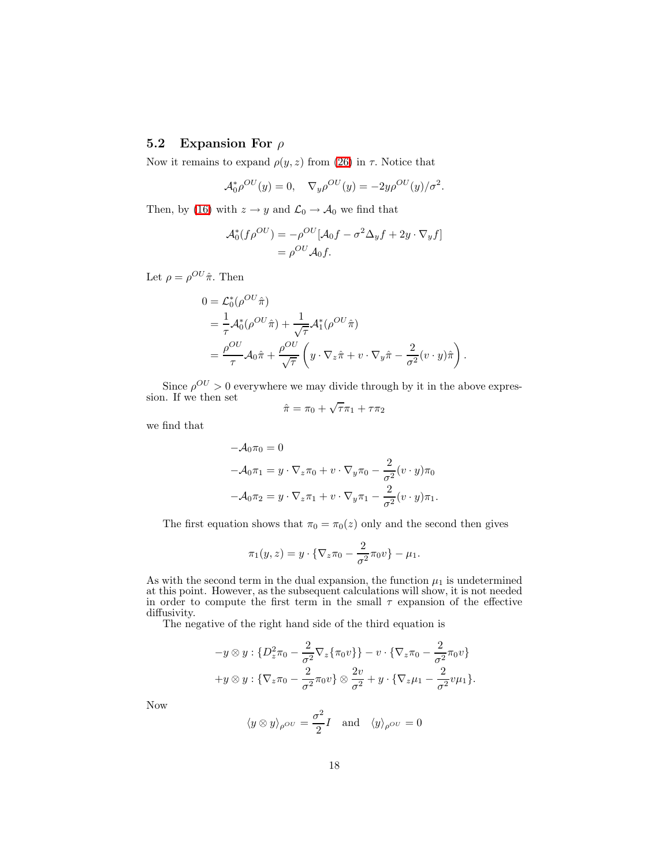## 5.2 Expansion For  $\rho$

Now it remains to expand  $\rho(y, z)$  from [\(26\)](#page-10-0) in  $\tau$ . Notice that

$$
\mathcal{A}_0^* \rho^{OU}(y) = 0, \quad \nabla_y \rho^{OU}(y) = -2y \rho^{OU}(y) / \sigma^2.
$$

Then, by [\(16\)](#page-7-1) with  $z\rightarrow y$  and  $\mathcal{L}_0\rightarrow \mathcal{A}_0$  we find that

$$
\mathcal{A}_0^*(f\rho^{OU}) = -\rho^{OU}[\mathcal{A}_0f - \sigma^2\Delta_yf + 2y \cdot \nabla_yf]
$$
  
=  $\rho^{OU}\mathcal{A}_0f$ .

Let  $\rho = \rho^{OU} \hat{\pi}$ . Then

$$
0 = \mathcal{L}_0^*(\rho^{OU}\hat{\pi})
$$
  
=  $\frac{1}{\tau}\mathcal{A}_0^*(\rho^{OU}\hat{\pi}) + \frac{1}{\sqrt{\tau}}\mathcal{A}_1^*(\rho^{OU}\hat{\pi})$   
=  $\frac{\rho^{OU}}{\tau}\mathcal{A}_0\hat{\pi} + \frac{\rho^{OU}}{\sqrt{\tau}}\left(y \cdot \nabla_z \hat{\pi} + v \cdot \nabla_y \hat{\pi} - \frac{2}{\sigma^2}(v \cdot y)\hat{\pi}\right).$ 

Since  $\rho^{OU} > 0$  everywhere we may divide through by it in the above expression. If we then set<br> $\hat{\pi} = \pi_0 + \lambda$ 

$$
\hat{\pi} = \pi_0 + \sqrt{\tau} \pi_1 + \tau \pi_2
$$

we find that

$$
-\mathcal{A}_0 \pi_0 = 0
$$
  

$$
-\mathcal{A}_0 \pi_1 = y \cdot \nabla_z \pi_0 + v \cdot \nabla_y \pi_0 - \frac{2}{\sigma^2} (v \cdot y) \pi_0
$$
  

$$
-\mathcal{A}_0 \pi_2 = y \cdot \nabla_z \pi_1 + v \cdot \nabla_y \pi_1 - \frac{2}{\sigma^2} (v \cdot y) \pi_1.
$$

The first equation shows that  $\pi_0 = \pi_0(z)$  only and the second then gives

$$
\pi_1(y, z) = y \cdot \{ \nabla_z \pi_0 - \frac{2}{\sigma^2} \pi_0 v \} - \mu_1.
$$

As with the second term in the dual expansion, the function  $\mu_1$  is undetermined at this point. However, as the subsequent calculations will show, it is not needed in order to compute the first term in the small  $\tau$  expansion of the effective diffusivity.

The negative of the right hand side of the third equation is

$$
-y \otimes y : \{D_z^2 \pi_0 - \frac{2}{\sigma^2} \nabla_z \{\pi_0 v\}\} - v \cdot \{\nabla_z \pi_0 - \frac{2}{\sigma^2} \pi_0 v\}
$$

$$
+y \otimes y : \{\nabla_z \pi_0 - \frac{2}{\sigma^2} \pi_0 v\} \otimes \frac{2v}{\sigma^2} + y \cdot \{\nabla_z \mu_1 - \frac{2}{\sigma^2} v \mu_1\}.
$$

Now

$$
\langle y \otimes y \rangle_{\rho}ov = \frac{\sigma^2}{2}I
$$
 and  $\langle y \rangle_{\rho}ov = 0$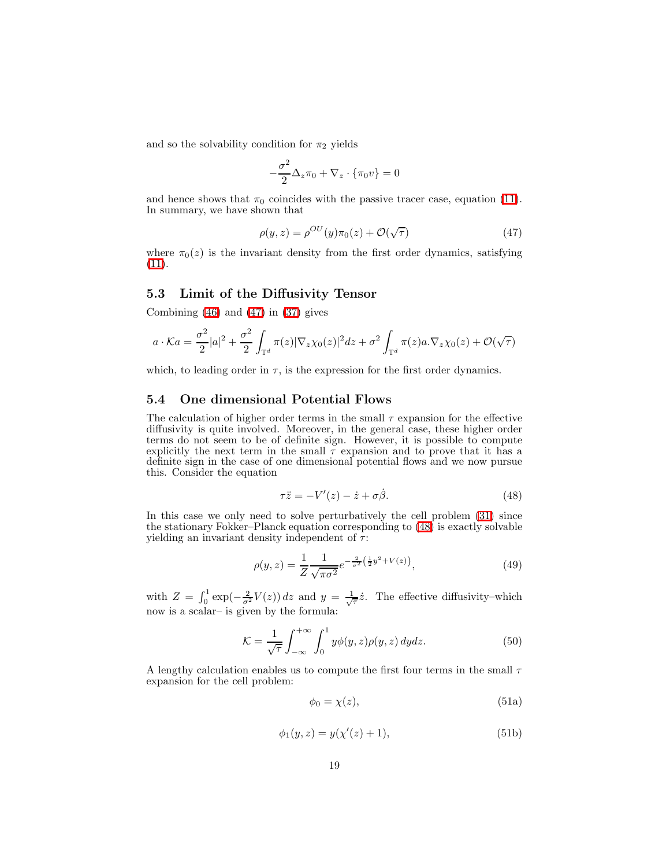and so the solvability condition for  $\pi_2$  yields

$$
-\frac{\sigma^2}{2}\Delta_z \pi_0 + \nabla_z \cdot {\{\pi_0 v\}} = 0
$$

and hence shows that  $\pi_0$  coincides with the passive tracer case, equation [\(11\)](#page-6-3). In summary, we have shown that

<span id="page-18-1"></span>
$$
\rho(y, z) = \rho^{OU}(y)\pi_0(z) + \mathcal{O}(\sqrt{\tau})
$$
\n(47)

where  $\pi_0(z)$  is the invariant density from the first order dynamics, satisfying [\(11\)](#page-6-3).

### 5.3 Limit of the Diffusivity Tensor

Combining  $(46)$  and  $(47)$  in  $(37)$  gives

$$
a \cdot Ka = \frac{\sigma^2}{2}|a|^2 + \frac{\sigma^2}{2}\int_{\mathbb{T}^d} \pi(z)|\nabla_z \chi_0(z)|^2 dz + \sigma^2 \int_{\mathbb{T}^d} \pi(z)a.\nabla_z \chi_0(z) + \mathcal{O}(\sqrt{\tau})
$$

which, to leading order in  $\tau$ , is the expression for the first order dynamics.

## <span id="page-18-0"></span>5.4 One dimensional Potential Flows

<span id="page-18-2"></span>The calculation of higher order terms in the small  $\tau$  expansion for the effective diffusivity is quite involved. Moreover, in the general case, these higher order terms do not seem to be of definite sign. However, it is possible to compute explicitly the next term in the small  $\tau$  expansion and to prove that it has a definite sign in the case of one dimensional potential flows and we now pursue this. Consider the equation

<span id="page-18-3"></span>
$$
\tau \ddot{z} = -V'(z) - \dot{z} + \sigma \dot{\beta}.
$$
 (48)

In this case we only need to solve perturbatively the cell problem [\(31\)](#page-11-0) since the stationary Fokker–Planck equation corresponding to [\(48\)](#page-18-2) is exactly solvable yielding an invariant density independent of  $\tau$ :

$$
\rho(y, z) = \frac{1}{Z} \frac{1}{\sqrt{\pi \sigma^2}} e^{-\frac{2}{\sigma^2} \left(\frac{1}{2} y^2 + V(z)\right)},\tag{49}
$$

with  $Z = \int_0^1 \exp(-\frac{2}{\sigma^2}V(z)) dz$  and  $y = \frac{1}{\sqrt{\tau}}\dot{z}$ . The effective diffusivity–which now is a scalar– is given by the formula:

$$
\mathcal{K} = \frac{1}{\sqrt{\tau}} \int_{-\infty}^{+\infty} \int_0^1 y \phi(y, z) \rho(y, z) dy dz.
$$
 (50)

A lengthy calculation enables us to compute the first four terms in the small  $\tau$ expansion for the cell problem:

$$
\phi_0 = \chi(z),\tag{51a}
$$

$$
\phi_1(y, z) = y(\chi'(z) + 1),\tag{51b}
$$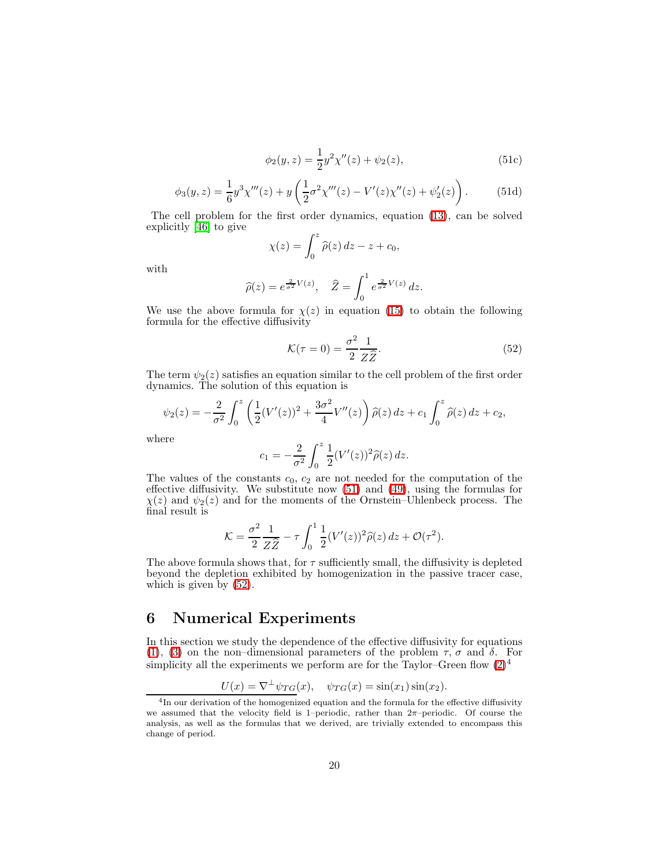$$
\phi_2(y, z) = \frac{1}{2} y^2 \chi''(z) + \psi_2(z), \tag{51c}
$$

$$
\phi_3(y, z) = \frac{1}{6} y^3 \chi'''(z) + y \left( \frac{1}{2} \sigma^2 \chi'''(z) - V'(z) \chi''(z) + \psi_2'(z) \right). \tag{51d}
$$

<span id="page-19-1"></span>The cell problem for the first order dynamics, equation [\(13\)](#page-7-2), can be solved explicitly [\[46\]](#page-30-0) to give

$$
\chi(z) = \int_0^z \hat{\rho}(z) dz - z + c_0,
$$

with

<span id="page-19-2"></span>
$$
\widehat{\rho}(z) = e^{\frac{2}{\sigma^2}V(z)}, \quad \widehat{Z} = \int_0^1 e^{\frac{2}{\sigma^2}V(z)} dz.
$$

We use the above formula for  $\chi(z)$  in equation [\(15\)](#page-7-4) to obtain the following formula for the effective diffusivity

$$
\mathcal{K}(\tau = 0) = \frac{\sigma^2}{2} \frac{1}{Z \hat{Z}}.
$$
\n(52)

The term  $\psi_2(z)$  satisfies an equation similar to the cell problem of the first order dynamics. The solution of this equation is

$$
\psi_2(z) = -\frac{2}{\sigma^2} \int_0^z \left( \frac{1}{2} (V'(z))^2 + \frac{3\sigma^2}{4} V''(z) \right) \hat{\rho}(z) \, dz + c_1 \int_0^z \hat{\rho}(z) \, dz + c_2,
$$

where

$$
c_1 = -\frac{2}{\sigma^2} \int_0^z \frac{1}{2} (V'(z))^2 \hat{\rho}(z) \, dz.
$$

The values of the constants  $c_0$ ,  $c_2$  are not needed for the computation of the effective diffusivity. We substitute now [\(51\)](#page-19-1) and [\(49\)](#page-18-3), using the formulas for  $\chi(z)$  and  $\psi_2(z)$  and for the moments of the Ornstein–Uhlenbeck process. The final result is

$$
\mathcal{K} = \frac{\sigma^2}{2} \frac{1}{Z \widehat{Z}} - \tau \int_0^1 \frac{1}{2} (V'(z))^2 \widehat{\rho}(z) dz + \mathcal{O}(\tau^2).
$$

The above formula shows that, for  $\tau$  sufficiently small, the diffusivity is depleted beyond the depletion exhibited by homogenization in the passive tracer case, which is given by  $(52)$ .

## <span id="page-19-0"></span>6 Numerical Experiments

In this section we study the dependence of the effective diffusivity for equations [\(1\)](#page-1-0), [\(3\)](#page-1-3) on the non–dimensional parameters of the problem  $\tau$ ,  $\sigma$  and  $\delta$ . For simplicity all the experiments we perform are for the Taylor–Green flow  $(2)^4$ 

$$
U(x) = \nabla^{\perp} \psi_{TG}(x), \quad \psi_{TG}(x) = \sin(x_1)\sin(x_2).
$$

<sup>&</sup>lt;sup>4</sup>In our derivation of the homogenized equation and the formula for the effective diffusivity we assumed that the velocity field is 1–periodic, rather than  $2\pi$ –periodic. Of course the analysis, as well as the formulas that we derived, are trivially extended to encompass this change of period.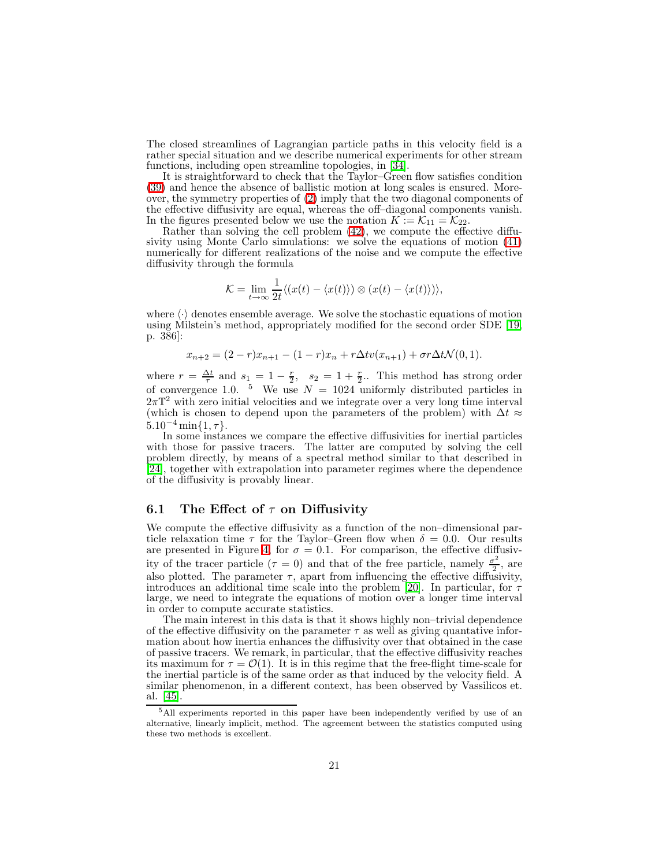The closed streamlines of Lagrangian particle paths in this velocity field is a rather special situation and we describe numerical experiments for other stream functions, including open streamline topologies, in [\[34\]](#page-29-13).

It is straightforward to check that the Taylor–Green flow satisfies condition [\(39\)](#page-14-1) and hence the absence of ballistic motion at long scales is ensured. Moreover, the symmetry properties of [\(2\)](#page-1-1) imply that the two diagonal components of the effective diffusivity are equal, whereas the off–diagonal components vanish. In the figures presented below we use the notation  $K := \mathcal{K}_{11} = \mathcal{K}_{22}$ .

Rather than solving the cell problem [\(42\)](#page-15-1), we compute the effective diffusivity using Monte Carlo simulations: we solve the equations of motion [\(41\)](#page-15-0) numerically for different realizations of the noise and we compute the effective diffusivity through the formula

$$
\mathcal{K} = \lim_{t \to \infty} \frac{1}{2t} \langle (x(t) - \langle x(t) \rangle) \otimes (x(t) - \langle x(t) \rangle) \rangle,
$$

where  $\langle \cdot \rangle$  denotes ensemble average. We solve the stochastic equations of motion using Milstein's method, appropriately modified for the second order SDE [\[19,](#page-28-16) p. 386]:

$$
x_{n+2} = (2-r)x_{n+1} - (1-r)x_n + r\Delta tv(x_{n+1}) + \sigma r \Delta t \mathcal{N}(0,1).
$$

where  $r = \frac{\Delta t}{\tau}$  and  $s_1 = 1 - \frac{r}{2}$ ,  $s_2 = 1 + \frac{r}{2}$ . This method has strong order of convergence 1.0. <sup>5</sup> We use  $N = 1024$  uniformly distributed particles in  $2\pi$ <sup>T</sup><sup>2</sup> with zero initial velocities and we integrate over a very long time interval (which is chosen to depend upon the parameters of the problem) with  $\Delta t \approx$  $5.10^{-4}$  min{1,  $\tau$ }.

In some instances we compare the effective diffusivities for inertial particles with those for passive tracers. The latter are computed by solving the cell problem directly, by means of a spectral method similar to that described in [\[24\]](#page-29-14), together with extrapolation into parameter regimes where the dependence of the diffusivity is provably linear.

### 6.1 The Effect of  $\tau$  on Diffusivity

We compute the effective diffusivity as a function of the non–dimensional particle relaxation time  $\tau$  for the Taylor–Green flow when  $\delta = 0.0$ . Our results are presented in Figure [4,](#page-21-0) for  $\sigma = 0.1$ . For comparison, the effective diffusivity of the tracer particle ( $\tau = 0$ ) and that of the free particle, namely  $\frac{\sigma^2}{2}$  $\frac{r}{2}$ , are also plotted. The parameter  $\tau$ , apart from influencing the effective diffusivity, introduces an additional time scale into the problem [\[20\]](#page-28-17). In particular, for  $\tau$ large, we need to integrate the equations of motion over a longer time interval in order to compute accurate statistics.

The main interest in this data is that it shows highly non–trivial dependence of the effective diffusivity on the parameter  $\tau$  as well as giving quantative information about how inertia enhances the diffusivity over that obtained in the case of passive tracers. We remark, in particular, that the effective diffusivity reaches its maximum for  $\tau = \mathcal{O}(1)$ . It is in this regime that the free-flight time-scale for the inertial particle is of the same order as that induced by the velocity field. A similar phenomenon, in a different context, has been observed by Vassilicos et. al. [\[45\]](#page-30-5).

<sup>5</sup>All experiments reported in this paper have been independently verified by use of an alternative, linearly implicit, method. The agreement between the statistics computed using these two methods is excellent.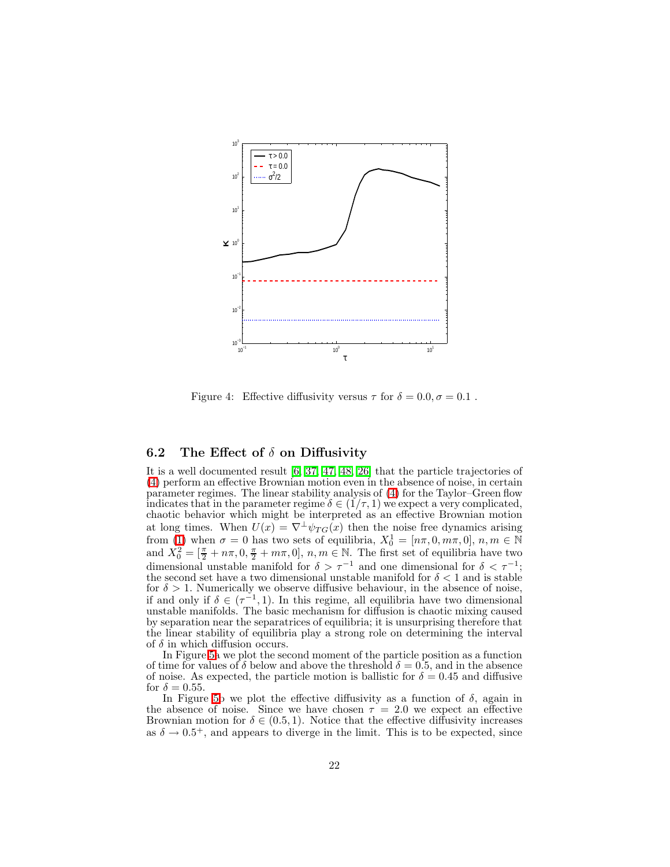

<span id="page-21-0"></span>Figure 4: Effective diffusivity versus  $\tau$  for  $\delta = 0.0, \sigma = 0.1$ .

### 6.2 The Effect of  $\delta$  on Diffusivity

It is a well documented result [\[6,](#page-28-7) [37,](#page-29-6) [47,](#page-30-1) [48,](#page-30-2) [26\]](#page-29-5) that the particle trajectories of [\(4\)](#page-1-2) perform an effective Brownian motion even in the absence of noise, in certain parameter regimes. The linear stability analysis of [\(4\)](#page-1-2) for the Taylor–Green flow indicates that in the parameter regime  $\delta \in (1/\tau, 1)$  we expect a very complicated, chaotic behavior which might be interpreted as an effective Brownian motion at long times. When  $U(x) = \nabla^{\perp} \psi_{TG}(x)$  then the noise free dynamics arising from [\(1\)](#page-1-0) when  $\sigma = 0$  has two sets of equilibria,  $X_0^1 = [n\pi, 0, m\pi, 0], n, m \in \mathbb{N}$ and  $\overline{X}_0^2 = [\frac{\pi}{2} + n\pi, 0, \frac{\pi}{2} + m\pi, 0], n, m \in \mathbb{N}$ . The first set of equilibria have two dimensional unstable manifold for  $\delta > \tau^{-1}$  and one dimensional for  $\delta < \tau^{-1}$ ; the second set have a two dimensional unstable manifold for  $\delta < 1$  and is stable for  $\delta > 1$ . Numerically we observe diffusive behaviour, in the absence of noise, if and only if  $\delta \in (\tau^{-1}, 1)$ . In this regime, all equilibria have two dimensional unstable manifolds. The basic mechanism for diffusion is chaotic mixing caused by separation near the separatrices of equilibria; it is unsurprising therefore that the linear stability of equilibria play a strong role on determining the interval of  $\delta$  in which diffusion occurs.

In Figure [5a](#page-22-0) we plot the second moment of the particle position as a function of time for values of  $\delta$  below and above the threshold  $\delta = 0.5$ , and in the absence of noise. As expected, the particle motion is ballistic for  $\delta = 0.45$  and diffusive for  $\delta = 0.55$ .

In Figure [5b](#page-22-0) we plot the effective diffusivity as a function of  $\delta$ , again in the absence of noise. Since we have chosen  $\tau = 2.0$  we expect an effective Brownian motion for  $\delta \in (0.5, 1)$ . Notice that the effective diffusivity increases as  $\delta \to 0.5^+$ , and appears to diverge in the limit. This is to be expected, since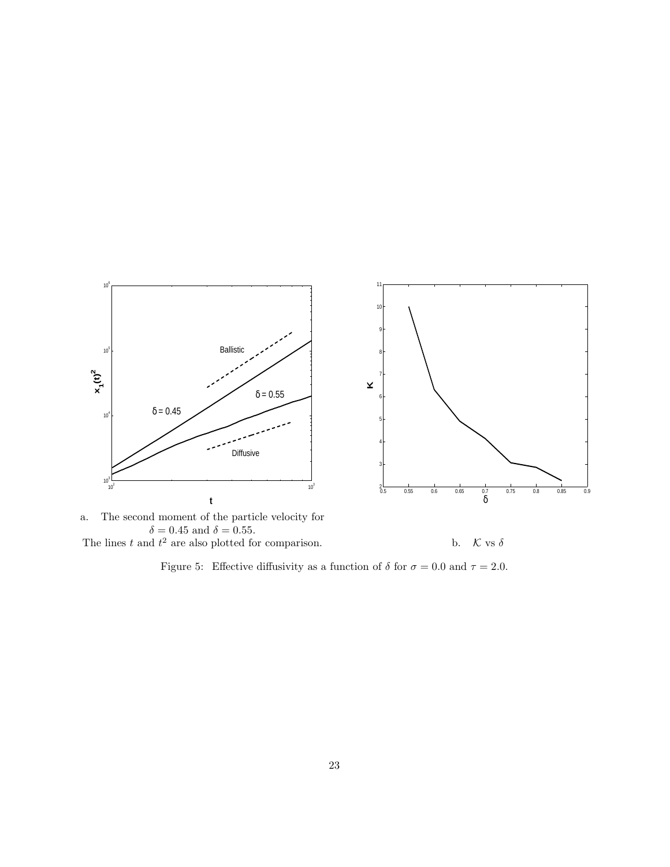

The lines t and  $t^2$  are also plotted for comparison. b.  $\mathcal{K}$  vs  $\delta$ 

<span id="page-22-0"></span>Figure 5: Effective diffusivity as a function of  $\delta$  for  $\sigma = 0.0$  and  $\tau = 2.0$ .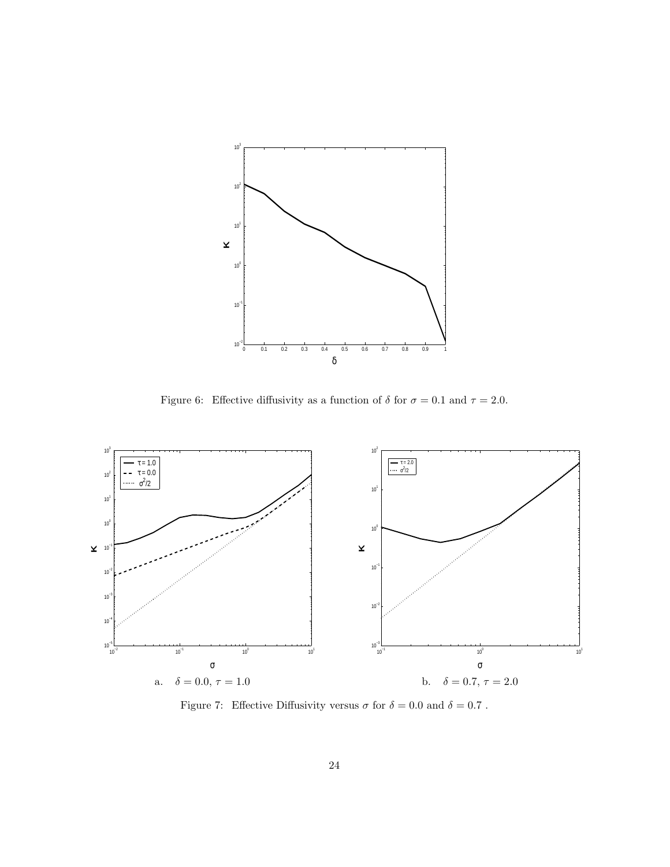

<span id="page-23-0"></span>Figure 6: Effective diffusivity as a function of  $\delta$  for  $\sigma = 0.1$  and  $\tau = 2.0$ .



<span id="page-23-1"></span>Figure 7: Effective Diffusivity versus  $\sigma$  for  $\delta=0.0$  and  $\delta=0.7$  .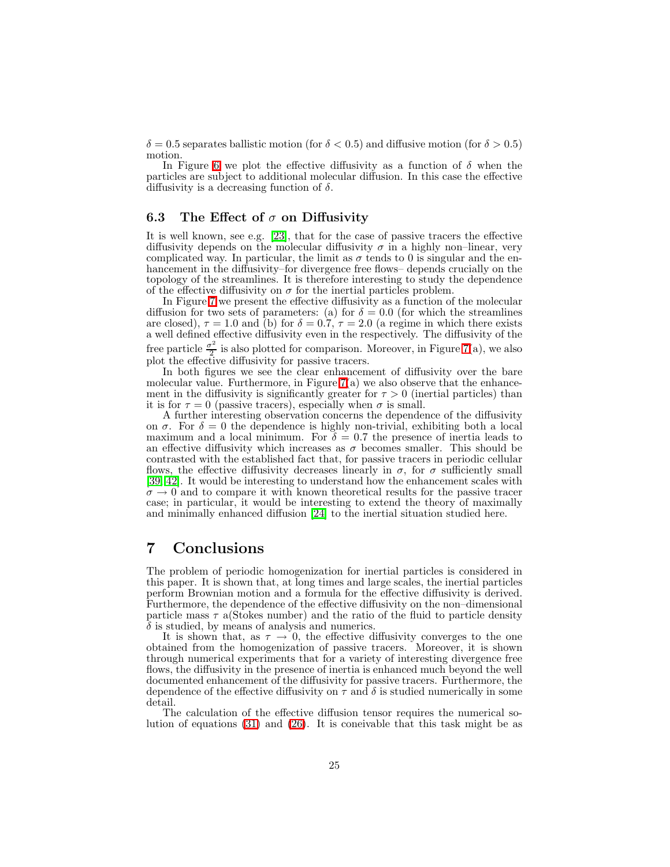$\delta = 0.5$  separates ballistic motion (for  $\delta < 0.5$ ) and diffusive motion (for  $\delta > 0.5$ ) motion.

In Figure [6](#page-23-0) we plot the effective diffusivity as a function of  $\delta$  when the particles are subject to additional molecular diffusion. In this case the effective diffusivity is a decreasing function of  $\delta$ .

### 6.3 The Effect of  $\sigma$  on Diffusivity

It is well known, see e.g. [\[23\]](#page-29-0), that for the case of passive tracers the effective diffusivity depends on the molecular diffusivity  $\sigma$  in a highly non–linear, very complicated way. In particular, the limit as  $\sigma$  tends to 0 is singular and the enhancement in the diffusivity–for divergence free flows– depends crucially on the topology of the streamlines. It is therefore interesting to study the dependence of the effective diffusivity on  $\sigma$  for the inertial particles problem.

In Figure [7](#page-23-1) we present the effective diffusivity as a function of the molecular diffusion for two sets of parameters: (a) for  $\delta = 0.0$  (for which the streamlines are closed),  $\tau = 1.0$  and (b) for  $\delta = 0.7$ ,  $\tau = 2.0$  (a regime in which there exists a well defined effective diffusivity even in the respectively. The diffusivity of the free particle  $\frac{\sigma^2}{2}$  $\frac{p}{2}$  is also plotted for comparison. Moreover, in Figure [7\(](#page-23-1)a), we also plot the effective diffusivity for passive tracers.

In both figures we see the clear enhancement of diffusivity over the bare molecular value. Furthermore, in Figure  $7(a)$  we also observe that the enhancement in the diffusivity is significantly greater for  $\tau > 0$  (inertial particles) than it is for  $\tau = 0$  (passive tracers), especially when  $\sigma$  is small.

A further interesting observation concerns the dependence of the diffusivity on  $\sigma$ . For  $\delta = 0$  the dependence is highly non-trivial, exhibiting both a local maximum and a local minimum. For  $\delta = 0.7$  the presence of inertia leads to an effective diffusivity which increases as  $\sigma$  becomes smaller. This should be contrasted with the established fact that, for passive tracers in periodic cellular flows, the effective diffusivity decreases linearly in  $\sigma$ , for  $\sigma$  sufficiently small [\[39,](#page-30-6) [42\]](#page-30-7). It would be interesting to understand how the enhancement scales with  $\sigma \to 0$  and to compare it with known theoretical results for the passive tracer case; in particular, it would be interesting to extend the theory of maximally and minimally enhanced diffusion [\[24\]](#page-29-14) to the inertial situation studied here.

## <span id="page-24-0"></span>7 Conclusions

The problem of periodic homogenization for inertial particles is considered in this paper. It is shown that, at long times and large scales, the inertial particles perform Brownian motion and a formula for the effective diffusivity is derived. Furthermore, the dependence of the effective diffusivity on the non–dimensional particle mass  $\tau$  a(Stokes number) and the ratio of the fluid to particle density  $\delta$  is studied, by means of analysis and numerics.

It is shown that, as  $\tau \to 0$ , the effective diffusivity converges to the one obtained from the homogenization of passive tracers. Moreover, it is shown through numerical experiments that for a variety of interesting divergence free flows, the diffusivity in the presence of inertia is enhanced much beyond the well documented enhancement of the diffusivity for passive tracers. Furthermore, the dependence of the effective diffusivity on  $\tau$  and  $\delta$  is studied numerically in some detail.

The calculation of the effective diffusion tensor requires the numerical solution of equations [\(31\)](#page-11-0) and [\(26\)](#page-10-0). It is coneivable that this task might be as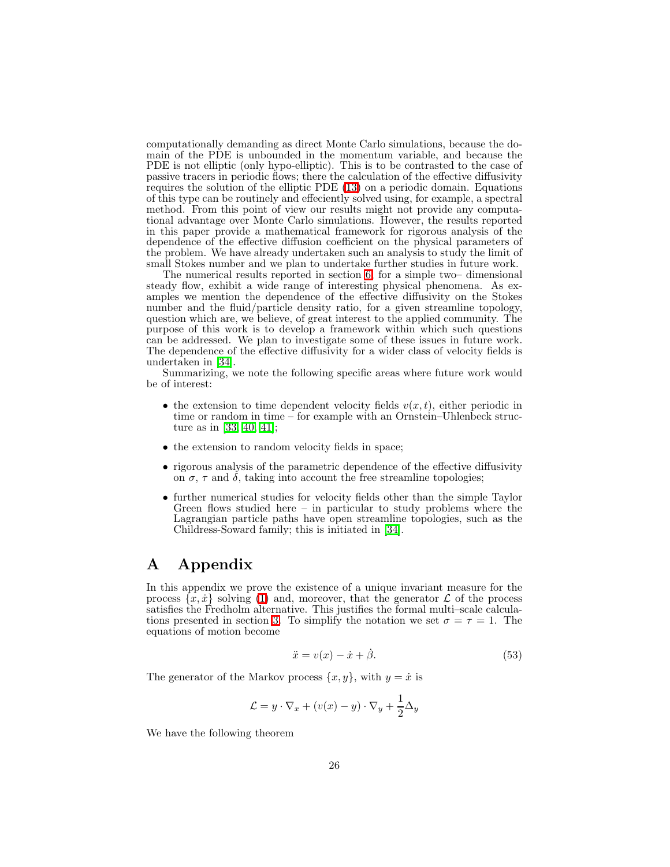computationally demanding as direct Monte Carlo simulations, because the domain of the PDE is unbounded in the momentum variable, and because the PDE is not elliptic (only hypo-elliptic). This is to be contrasted to the case of passive tracers in periodic flows; there the calculation of the effective diffusivity requires the solution of the elliptic PDE [\(13\)](#page-7-2) on a periodic domain. Equations of this type can be routinely and effeciently solved using, for example, a spectral method. From this point of view our results might not provide any computational advantage over Monte Carlo simulations. However, the results reported in this paper provide a mathematical framework for rigorous analysis of the dependence of the effective diffusion coefficient on the physical parameters of the problem. We have already undertaken such an analysis to study the limit of small Stokes number and we plan to undertake further studies in future work.

The numerical results reported in section [6,](#page-19-0) for a simple two– dimensional steady flow, exhibit a wide range of interesting physical phenomena. As examples we mention the dependence of the effective diffusivity on the Stokes number and the fluid/particle density ratio, for a given streamline topology, question which are, we believe, of great interest to the applied community. The purpose of this work is to develop a framework within which such questions can be addressed. We plan to investigate some of these issues in future work. The dependence of the effective diffusivity for a wider class of velocity fields is undertaken in [\[34\]](#page-29-13).

Summarizing, we note the following specific areas where future work would be of interest:

- the extension to time dependent velocity fields  $v(x, t)$ , either periodic in time or random in time – for example with an Ornstein–Uhlenbeck structure as in [\[33,](#page-29-15) [40,](#page-30-8) [41\]](#page-30-9);
- the extension to random velocity fields in space;
- rigorous analysis of the parametric dependence of the effective diffusivity on  $\sigma$ ,  $\tau$  and  $\delta$ , taking into account the free streamline topologies;
- further numerical studies for velocity fields other than the simple Taylor Green flows studied here  $-$  in particular to study problems where the Lagrangian particle paths have open streamline topologies, such as the Childress-Soward family; this is initiated in [\[34\]](#page-29-13).

## <span id="page-25-0"></span>A Appendix

<span id="page-25-1"></span>In this appendix we prove the existence of a unique invariant measure for the process  $\{x, \dot{x}\}$  solving [\(1\)](#page-1-0) and, moreover, that the generator  $\mathcal L$  of the process satisfies the Fredholm alternative. This justifies the formal multi–scale calcula-tions presented in section [3.](#page-9-0) To simplify the notation we set  $\sigma = \tau = 1$ . The equations of motion become

$$
\ddot{x} = v(x) - \dot{x} + \dot{\beta}.\tag{53}
$$

The generator of the Markov process  $\{x, y\}$ , with  $y = \dot{x}$  is

$$
\mathcal{L} = y \cdot \nabla_x + (v(x) - y) \cdot \nabla_y + \frac{1}{2} \Delta_y
$$

<span id="page-25-2"></span>We have the following theorem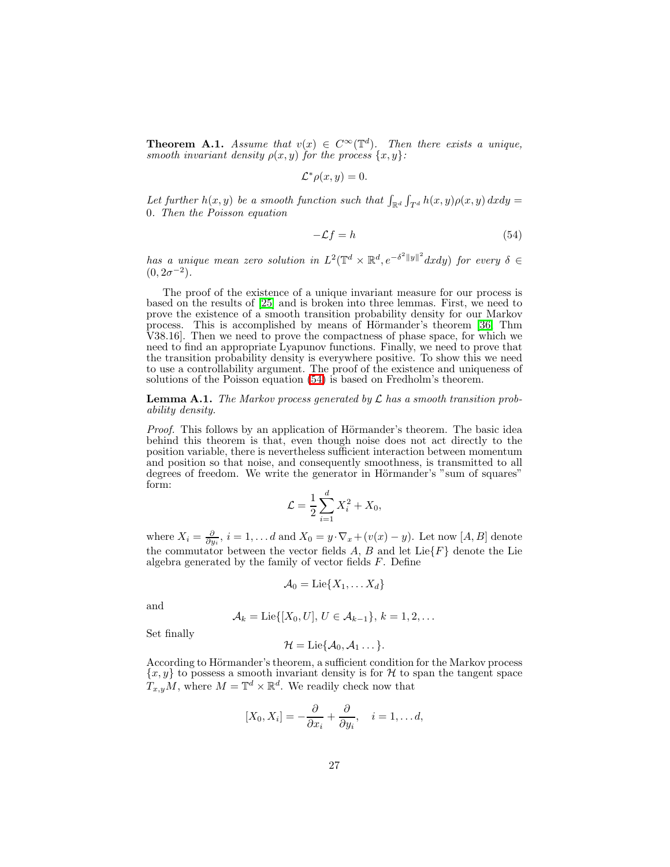**Theorem A.1.** *Assume that*  $v(x) \in C^{\infty}(\mathbb{T}^d)$ . *Then there exists a unique, smooth invariant density*  $\rho(x, y)$  *for the process*  $\{x, y\}$ *:* 

$$
\mathcal{L}^*\rho(x,y)=0.
$$

<span id="page-26-1"></span>Let further  $h(x, y)$  be a smooth function such that  $\int_{\mathbb{R}^d} \int_{T^d} h(x, y) \rho(x, y) dx dy =$ 0*. Then the Poisson equation*

$$
-\mathcal{L}f = h \tag{54}
$$

*has a unique mean zero solution in*  $L^2(\mathbb{T}^d \times \mathbb{R}^d, e^{-\delta^2 ||y||^2} dxdy)$  *for every*  $\delta \in$  $(0, 2\sigma^{-2})$ .

The proof of the existence of a unique invariant measure for our process is based on the results of [\[25\]](#page-29-11) and is broken into three lemmas. First, we need to prove the existence of a smooth transition probability density for our Markov process. This is accomplished by means of Hörmander's theorem [\[36,](#page-29-16) Thm V38.16]. Then we need to prove the compactness of phase space, for which we need to find an appropriate Lyapunov functions. Finally, we need to prove that the transition probability density is everywhere positive. To show this we need to use a controllability argument. The proof of the existence and uniqueness of solutions of the Poisson equation [\(54\)](#page-26-1) is based on Fredholm's theorem.

<span id="page-26-0"></span>Lemma A.1. *The Markov process generated by* <sup>L</sup> *has a smooth transition probability density.*

*Proof.* This follows by an application of Hörmander's theorem. The basic idea behind this theorem is that, even though noise does not act directly to the position variable, there is nevertheless sufficient interaction between momentum and position so that noise, and consequently smoothness, is transmitted to all degrees of freedom. We write the generator in Hörmander's "sum of squares" form:

$$
\mathcal{L} = \frac{1}{2} \sum_{i=1}^d X_i^2 + X_0,
$$

where  $X_i = \frac{\partial}{\partial y_i}$ ,  $i = 1, \dots d$  and  $X_0 = y \cdot \nabla_x + (v(x) - y)$ . Let now [A, B] denote the commutator between the vector fields A, B and let  $Lie\{F\}$  denote the Lie algebra generated by the family of vector fields  $F$ . Define

$$
\mathcal{A}_0 = \text{Lie}\{X_1, \ldots X_d\}
$$

and

$$
\mathcal{A}_k = \text{Lie}\{[X_0, U], U \in \mathcal{A}_{k-1}\}, k = 1, 2, \dots
$$

Set finally

$$
\mathcal{H}=\mathrm{Lie}\{\mathcal{A}_0,\mathcal{A}_1\ldots\}.
$$

According to Hörmander's theorem, a sufficient condition for the Markov process  ${x, y}$  to possess a smooth invariant density is for H to span the tangent space  $T_{x,y}M$ , where  $M = \mathbb{T}^d \times \mathbb{R}^d$ . We readily check now that

$$
[X_0, X_i] = -\frac{\partial}{\partial x_i} + \frac{\partial}{\partial y_i}, \quad i = 1, \dots d,
$$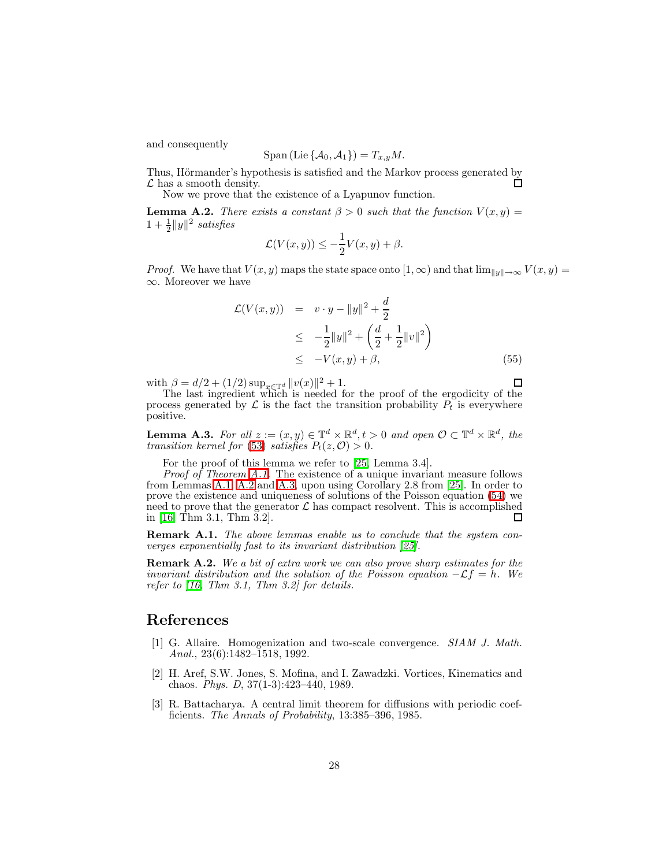and consequently

$$
\text{Span}\left(\text{Lie}\left\{\mathcal{A}_0, \mathcal{A}_1\right\}\right) = T_{x,y}M.
$$

Thus, Hörmander's hypothesis is satisfied and the Markov process generated by  $\mathcal L$  has a smooth density. □

Now we prove that the existence of a Lyapunov function.

<span id="page-27-3"></span>**Lemma A.2.** *There exists a constant*  $\beta > 0$  *such that the function*  $V(x, y) =$  $1 + \frac{1}{2} ||y||^2$  satisfies

$$
\mathcal{L}(V(x,y)) \leq -\frac{1}{2}V(x,y) + \beta.
$$

*Proof.* We have that  $V(x, y)$  maps the state space onto  $[1, \infty)$  and that  $\lim_{\|y\| \to \infty} V(x, y) =$ ∞. Moreover we have

$$
\mathcal{L}(V(x, y)) = v \cdot y - ||y||^2 + \frac{d}{2}
$$
  
\n
$$
\leq -\frac{1}{2}||y||^2 + \left(\frac{d}{2} + \frac{1}{2}||v||^2\right)
$$
  
\n
$$
\leq -V(x, y) + \beta,
$$
\n(55)

with  $\beta = d/2 + (1/2) \sup_{x \in \mathbb{T}^d} ||v(x)||^2 + 1$ .

The last ingredient which is needed for the proof of the ergodicity of the process generated by  $\mathcal L$  is the fact the transition probability  $P_t$  is everywhere positive.

<span id="page-27-4"></span>**Lemma A.3.** For all  $z := (x, y) \in \mathbb{T}^d \times \mathbb{R}^d, t > 0$  and open  $\mathcal{O} \subset \mathbb{T}^d \times \mathbb{R}^d$ , the *transition kernel for* [\(53\)](#page-25-1) *satisfies*  $P_t(z, \mathcal{O}) > 0$ *.* 

For the proof of this lemma we refer to [\[25,](#page-29-11) Lemma 3.4].

*Proof of Theorem [A.1.](#page-25-2)* The existence of a unique invariant measure follows from Lemmas [A.1,](#page-26-0) [A.2](#page-27-3) and [A.3,](#page-27-4) upon using Corollary 2.8 from [\[25\]](#page-29-11). In order to prove the existence and uniqueness of solutions of the Poisson equation [\(54\)](#page-26-1) we need to prove that the generator  $\mathcal L$  has compact resolvent. This is accomplished in [16, Thm 3.1, Thm 3.2]. in [\[16,](#page-28-11) Thm 3.1, Thm 3.2].

Remark A.1. *The above lemmas enable us to conclude that the system converges exponentially fast to its invariant distribution [\[25\]](#page-29-11).*

Remark A.2. *We a bit of extra work we can also prove sharp estimates for the invariant distribution and the solution of the Poisson equation*  $-\mathcal{L}f = h$ . We *refer to [\[16,](#page-28-11) Thm 3.1, Thm 3.2] for details.*

## <span id="page-27-1"></span>References

- [1] G. Allaire. Homogenization and two-scale convergence. *SIAM J. Math. Anal.*, 23(6):1482–1518, 1992.
- <span id="page-27-0"></span>[2] H. Aref, S.W. Jones, S. Mofina, and I. Zawadzki. Vortices, Kinematics and chaos. *Phys. D*, 37(1-3):423–440, 1989.
- <span id="page-27-2"></span>[3] R. Battacharya. A central limit theorem for diffusions with periodic coefficients. *The Annals of Probability*, 13:385–396, 1985.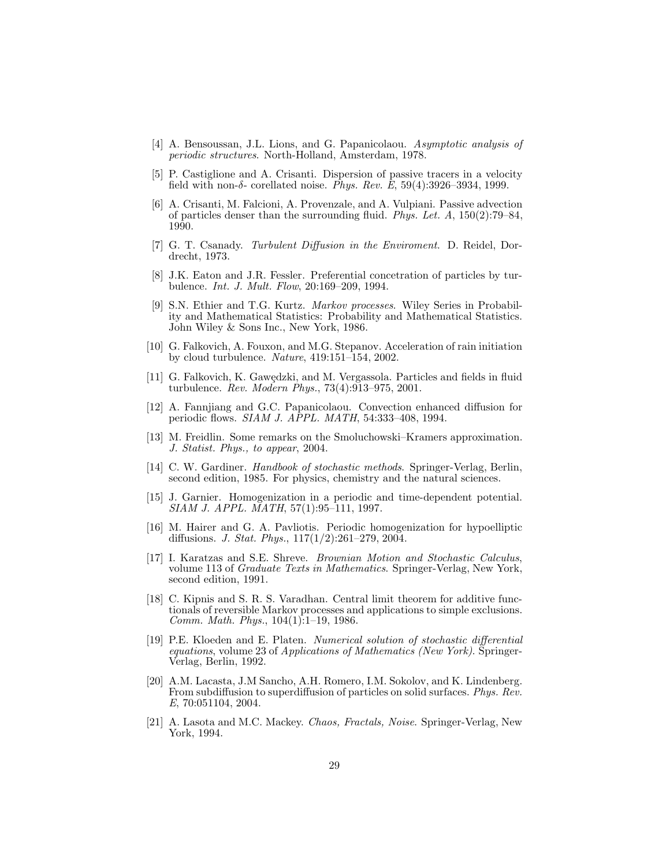- <span id="page-28-2"></span>[4] A. Bensoussan, J.L. Lions, and G. Papanicolaou. *Asymptotic analysis of periodic structures*. North-Holland, Amsterdam, 1978.
- <span id="page-28-4"></span>[5] P. Castiglione and A. Crisanti. Dispersion of passive tracers in a velocity field with non-δ- corellated noise. *Phys. Rev. E*, 59(4):3926–3934, 1999.
- <span id="page-28-7"></span>[6] A. Crisanti, M. Falcioni, A. Provenzale, and A. Vulpiani. Passive advection of particles denser than the surrounding fluid. *Phys. Let. A*, 150(2):79–84, 1990.
- <span id="page-28-1"></span>[7] G. T. Csanady. *Turbulent Diffusion in the Enviroment*. D. Reidel, Dordrecht, 1973.
- <span id="page-28-5"></span>[8] J.K. Eaton and J.R. Fessler. Preferential concetration of particles by turbulence. *Int. J. Mult. Flow*, 20:169–209, 1994.
- <span id="page-28-15"></span>[9] S.N. Ethier and T.G. Kurtz. *Markov processes*. Wiley Series in Probability and Mathematical Statistics: Probability and Mathematical Statistics. John Wiley & Sons Inc., New York, 1986.
- <span id="page-28-6"></span>[10] G. Falkovich, A. Fouxon, and M.G. Stepanov. Acceleration of rain initiation by cloud turbulence. *Nature*, 419:151–154, 2002.
- <span id="page-28-0"></span>[11] G. Falkovich, K. Gawędzki, and M. Vergassola. Particles and fields in fluid turbulence. *Rev. Modern Phys.*, 73(4):913–975, 2001.
- <span id="page-28-3"></span>[12] A. Fannjiang and G.C. Papanicolaou. Convection enhanced diffusion for periodic flows. *SIAM J. APPL. MATH*, 54:333–408, 1994.
- <span id="page-28-9"></span>[13] M. Freidlin. Some remarks on the Smoluchowski–Kramers approximation. *J. Statist. Phys., to appear*, 2004.
- <span id="page-28-13"></span>[14] C. W. Gardiner. *Handbook of stochastic methods*. Springer-Verlag, Berlin, second edition, 1985. For physics, chemistry and the natural sciences.
- <span id="page-28-8"></span>[15] J. Garnier. Homogenization in a periodic and time-dependent potential. *SIAM J. APPL. MATH*, 57(1):95–111, 1997.
- <span id="page-28-11"></span>[16] M. Hairer and G. A. Pavliotis. Periodic homogenization for hypoelliptic diffusions. *J. Stat. Phys.*, 117(1/2):261–279, 2004.
- <span id="page-28-12"></span>[17] I. Karatzas and S.E. Shreve. *Brownian Motion and Stochastic Calculus*, volume 113 of *Graduate Texts in Mathematics*. Springer-Verlag, New York, second edition, 1991.
- <span id="page-28-10"></span>[18] C. Kipnis and S. R. S. Varadhan. Central limit theorem for additive functionals of reversible Markov processes and applications to simple exclusions. *Comm. Math. Phys.*, 104(1):1–19, 1986.
- <span id="page-28-16"></span>[19] P.E. Kloeden and E. Platen. *Numerical solution of stochastic differential equations*, volume 23 of *Applications of Mathematics (New York)*. Springer-Verlag, Berlin, 1992.
- <span id="page-28-17"></span>[20] A.M. Lacasta, J.M Sancho, A.H. Romero, I.M. Sokolov, and K. Lindenberg. From subdiffusion to superdiffusion of particles on solid surfaces. *Phys. Rev. E*, 70:051104, 2004.
- <span id="page-28-14"></span>[21] A. Lasota and M.C. Mackey. *Chaos, Fractals, Noise*. Springer-Verlag, New York, 1994.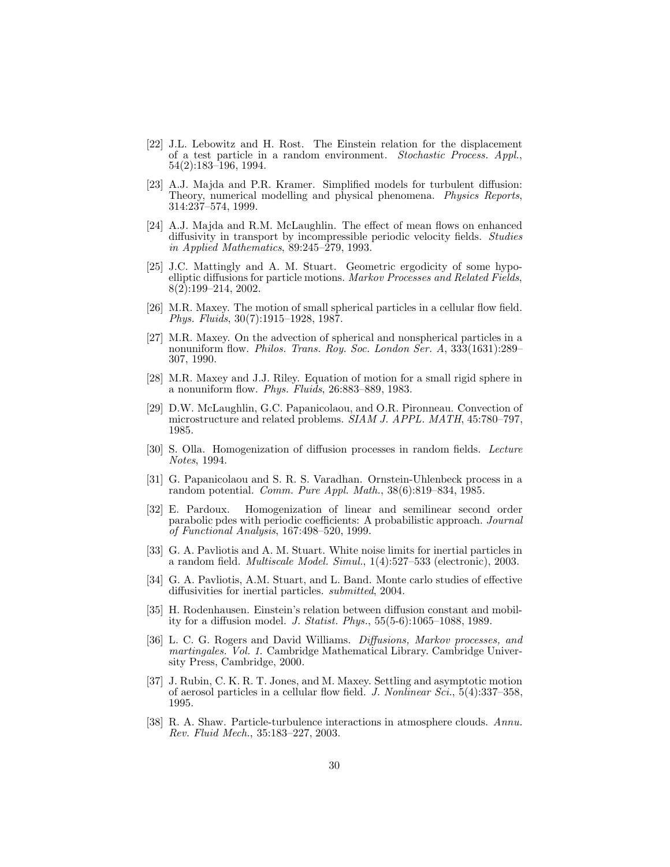- <span id="page-29-7"></span>[22] J.L. Lebowitz and H. Rost. The Einstein relation for the displacement of a test particle in a random environment. *Stochastic Process. Appl.*, 54(2):183–196, 1994.
- <span id="page-29-0"></span>[23] A.J. Majda and P.R. Kramer. Simplified models for turbulent diffusion: Theory, numerical modelling and physical phenomena. *Physics Reports*, 314:237–574, 1999.
- <span id="page-29-14"></span>[24] A.J. Majda and R.M. McLaughlin. The effect of mean flows on enhanced diffusivity in transport by incompressible periodic velocity fields. *Studies in Applied Mathematics*, 89:245–279, 1993.
- <span id="page-29-11"></span>[25] J.C. Mattingly and A. M. Stuart. Geometric ergodicity of some hypoelliptic diffusions for particle motions. *Markov Processes and Related Fields*, 8(2):199–214, 2002.
- <span id="page-29-5"></span>[26] M.R. Maxey. The motion of small spherical particles in a cellular flow field. *Phys. Fluids*, 30(7):1915–1928, 1987.
- <span id="page-29-3"></span>[27] M.R. Maxey. On the advection of spherical and nonspherical particles in a nonuniform flow. *Philos. Trans. Roy. Soc. London Ser. A*, 333(1631):289– 307, 1990.
- <span id="page-29-4"></span>[28] M.R. Maxey and J.J. Riley. Equation of motion for a small rigid sphere in a nonuniform flow. *Phys. Fluids*, 26:883–889, 1983.
- <span id="page-29-1"></span>[29] D.W. McLaughlin, G.C. Papanicolaou, and O.R. Pironneau. Convection of microstructure and related problems. *SIAM J. APPL. MATH*, 45:780–797, 1985.
- <span id="page-29-12"></span>[30] S. Olla. Homogenization of diffusion processes in random fields. *Lecture Notes*, 1994.
- <span id="page-29-8"></span>[31] G. Papanicolaou and S. R. S. Varadhan. Ornstein-Uhlenbeck process in a random potential. *Comm. Pure Appl. Math.*, 38(6):819–834, 1985.
- <span id="page-29-10"></span>[32] E. Pardoux. Homogenization of linear and semilinear second order parabolic pdes with periodic coefficients: A probabilistic approach. *Journal of Functional Analysis*, 167:498–520, 1999.
- <span id="page-29-15"></span>[33] G. A. Pavliotis and A. M. Stuart. White noise limits for inertial particles in a random field. *Multiscale Model. Simul.*, 1(4):527–533 (electronic), 2003.
- <span id="page-29-13"></span>[34] G. A. Pavliotis, A.M. Stuart, and L. Band. Monte carlo studies of effective diffusivities for inertial particles. *submitted*, 2004.
- <span id="page-29-9"></span>[35] H. Rodenhausen. Einstein's relation between diffusion constant and mobility for a diffusion model. *J. Statist. Phys.*, 55(5-6):1065–1088, 1989.
- <span id="page-29-16"></span>[36] L. C. G. Rogers and David Williams. *Diffusions, Markov processes, and martingales. Vol. 1*. Cambridge Mathematical Library. Cambridge University Press, Cambridge, 2000.
- <span id="page-29-6"></span>[37] J. Rubin, C. K. R. T. Jones, and M. Maxey. Settling and asymptotic motion of aerosol particles in a cellular flow field. *J. Nonlinear Sci.*, 5(4):337–358, 1995.
- <span id="page-29-2"></span>[38] R. A. Shaw. Particle-turbulence interactions in atmosphere clouds. *Annu. Rev. Fluid Mech.*, 35:183–227, 2003.